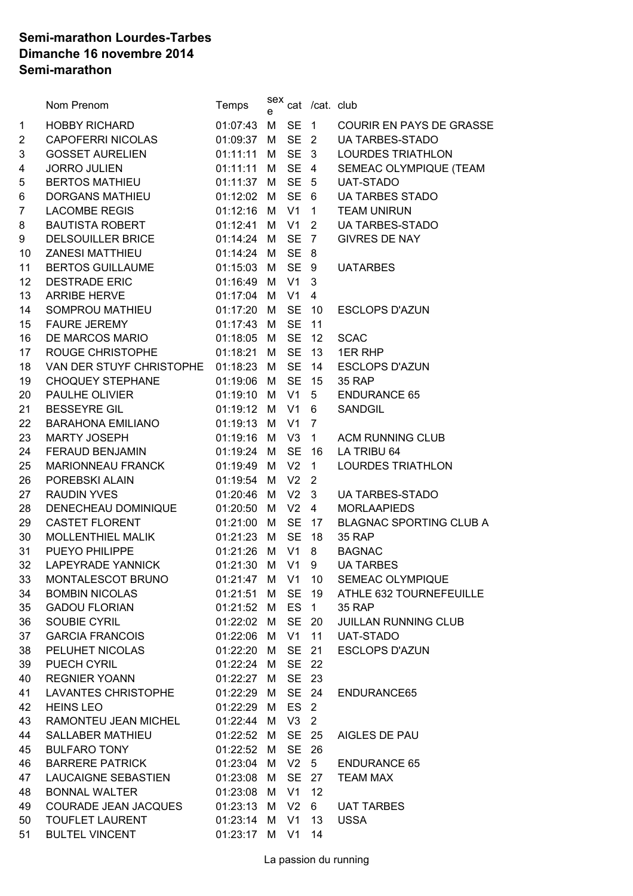## **Semi-marathon Lourdes-Tarbes Dimanche 16 novembre 2014 Semi-marathon**

|                | Nom Prenom                        | Temps      | sex<br>e |                 | cat /cat. club  |                                 |
|----------------|-----------------------------------|------------|----------|-----------------|-----------------|---------------------------------|
| $\mathbf 1$    | <b>HOBBY RICHARD</b>              | 01:07:43   | M        | <b>SE</b>       | 1               | <b>COURIR EN PAYS DE GRASSE</b> |
| $\overline{c}$ | <b>CAPOFERRI NICOLAS</b>          | 01:09:37   | M        |                 | SE <sub>2</sub> | <b>UA TARBES-STADO</b>          |
| 3              | GOSSET AURELIEN                   | 01:11:11   | м        |                 | SE 3            | <b>LOURDES TRIATHLON</b>        |
| 4              | <b>JORRO JULIEN</b>               | 01:11:11   | М        |                 | SE 4            | SEMEAC OLYMPIQUE (TEAM          |
| 5              | <b>BERTOS MATHIEU</b>             | 01:11:37 M |          |                 | SE 5            | <b>UAT-STADO</b>                |
| 6              | DORGANS MATHIEU                   | 01:12:02 M |          | SE 6            |                 | <b>UA TARBES STADO</b>          |
| 7              | <b>LACOMBE REGIS</b>              | 01:12:16   | M        | V1              | $\mathbf 1$     | <b>TEAM UNIRUN</b>              |
| 8              | BAUTISTA ROBERT                   | 01:12:41   | м        | V1              | $2^{\circ}$     | <b>UA TARBES-STADO</b>          |
| 9              | DELSOUILLER BRICE                 | 01:14:24   | M        |                 | SE 7            | <b>GIVRES DE NAY</b>            |
| 10             | <b>ZANESI MATTHIEU</b>            | 01:14:24   | M        | <b>SE</b>       | 8               |                                 |
| 11             | <b>BERTOS GUILLAUME</b>           | 01:15:03 M |          | SE <sub>9</sub> |                 | <b>UATARBES</b>                 |
| 12             | <b>DESTRADE ERIC</b>              | 01:16:49   | M        | V1              | 3               |                                 |
| 13             | <b>ARRIBE HERVE</b>               | 01:17:04 M |          | V1              | 4               |                                 |
| 14             | SOMPROU MATHIEU                   | 01:17:20   | M        | <b>SE</b>       | 10              | <b>ESCLOPS D'AZUN</b>           |
| 15             | <b>FAURE JEREMY</b>               | 01:17:43   | M        | <b>SE</b>       | 11              |                                 |
| 16             | DE MARCOS MARIO                   | 01:18:05   | M        | <b>SE</b>       | 12              | <b>SCAC</b>                     |
| 17             | ROUGE CHRISTOPHE                  | 01:18:21   | M        | <b>SE</b>       | 13              | 1ER RHP                         |
| 18             | VAN DER STUYF CHRISTOPHE 01:18:23 |            | M        | <b>SE</b>       | 14              | <b>ESCLOPS D'AZUN</b>           |
| 19             | <b>CHOQUEY STEPHANE</b>           | 01:19:06   | M        | <b>SE</b>       | 15              | <b>35 RAP</b>                   |
| 20             | PAULHE OLIVIER                    | 01:19:10 M |          | V1              | 5 <sup>5</sup>  | <b>ENDURANCE 65</b>             |
| 21             | <b>BESSEYRE GIL</b>               | 01:19:12 M |          | V1              | 6               | SANDGIL                         |
| 22             | <b>BARAHONA EMILIANO</b>          | 01:19:13 M |          | V1              | $\overline{7}$  |                                 |
| 23             | <b>MARTY JOSEPH</b>               | 01:19:16   | M        | V3              | 1               | <b>ACM RUNNING CLUB</b>         |
| 24             | FERAUD BENJAMIN                   | 01:19:24   | M        | <b>SE</b>       | 16              | LA TRIBU 64                     |
| 25             | <b>MARIONNEAU FRANCK</b>          | 01:19:49   | M        | V <sub>2</sub>  | $\mathbf{1}$    | <b>LOURDES TRIATHLON</b>        |
| 26             | POREBSKI ALAIN                    | 01:19:54   | M        | V <sub>2</sub>  | $\overline{2}$  |                                 |
| 27             | <b>RAUDIN YVES</b>                | 01:20:46   | M        | V <sub>2</sub>  | 3               | <b>UA TARBES-STADO</b>          |
| 28             | DENECHEAU DOMINIQUE               | 01:20:50   | М        | V <sub>2</sub>  | $\overline{4}$  | <b>MORLAAPIEDS</b>              |
| 29             | CASTET FLORENT                    | 01:21:00   | M        | <b>SE</b>       | 17              | <b>BLAGNAC SPORTING CLUB A</b>  |
| 30             | MOLLENTHIEL MALIK                 | 01:21:23   | M        | <b>SE</b>       | 18              | 35 RAP                          |
| 31             | PUEYO PHILIPPE                    | 01:21:26   | M        | V1              | 8               | <b>BAGNAC</b>                   |
| 32             | LAPEYRADE YANNICK                 | 01:21:30   | M        | V <sub>1</sub>  | 9               | <b>UA TARBES</b>                |
| 33             | MONTALESCOT BRUNO                 | 01:21:47   | M        | $V1$ 10         |                 | SEMEAC OLYMPIQUE                |
| 34             | <b>BOMBIN NICOLAS</b>             | 01:21:51   | M        | <b>SE</b>       | 19              | ATHLE 632 TOURNEFEUILLE         |
| 35             | <b>GADOU FLORIAN</b>              | 01:21:52 M |          | ES              | 1               | <b>35 RAP</b>                   |
| 36             | SOUBIE CYRIL                      | 01:22:02 M |          | <b>SE</b>       | 20              | <b>JUILLAN RUNNING CLUB</b>     |
| 37             | <b>GARCIA FRANCOIS</b>            | 01:22:06 M |          | V1              | 11              | <b>UAT-STADO</b>                |
| 38             | PELUHET NICOLAS                   | 01:22:20   | M        | <b>SE</b>       | 21              | <b>ESCLOPS D'AZUN</b>           |
| 39             | PUECH CYRIL                       | 01:22:24   | M        | <b>SE</b>       | 22              |                                 |
| 40             | <b>REGNIER YOANN</b>              | 01:22:27   | М        | <b>SE</b>       | 23              |                                 |
| 41             | LAVANTES CHRISTOPHE               | 01:22:29   | M        | <b>SE</b>       | 24              | ENDURANCE65                     |
| 42             | <b>HEINS LEO</b>                  | 01:22:29   | M        | ES              | $\overline{2}$  |                                 |
| 43             | RAMONTEU JEAN MICHEL              | 01:22:44   | M        | V3              | $\overline{2}$  |                                 |
| 44             | <b>SALLABER MATHIEU</b>           | 01:22:52   | M        | SE 25           |                 | AIGLES DE PAU                   |
| 45             | <b>BULFARO TONY</b>               | 01:22:52   | M        | <b>SE</b>       | 26              |                                 |
| 46             | <b>BARRERE PATRICK</b>            | 01:23:04   | M        | $V2 \quad 5$    |                 | <b>ENDURANCE 65</b>             |
| 47             | LAUCAIGNE SEBASTIEN               | 01:23:08 M |          | <b>SE</b>       | 27              | <b>TEAM MAX</b>                 |
| 48             | <b>BONNAL WALTER</b>              | 01:23:08 M |          | V <sub>1</sub>  | 12              |                                 |
| 49             | COURADE JEAN JACQUES              | 01:23:13 M |          | V <sub>2</sub>  | 6               | <b>UAT TARBES</b>               |
| 50             | <b>TOUFLET LAURENT</b>            | 01:23:14 M |          | V <sub>1</sub>  | 13              | <b>USSA</b>                     |
| 51             | <b>BULTEL VINCENT</b>             | 01:23:17 M |          | V1              | 14              |                                 |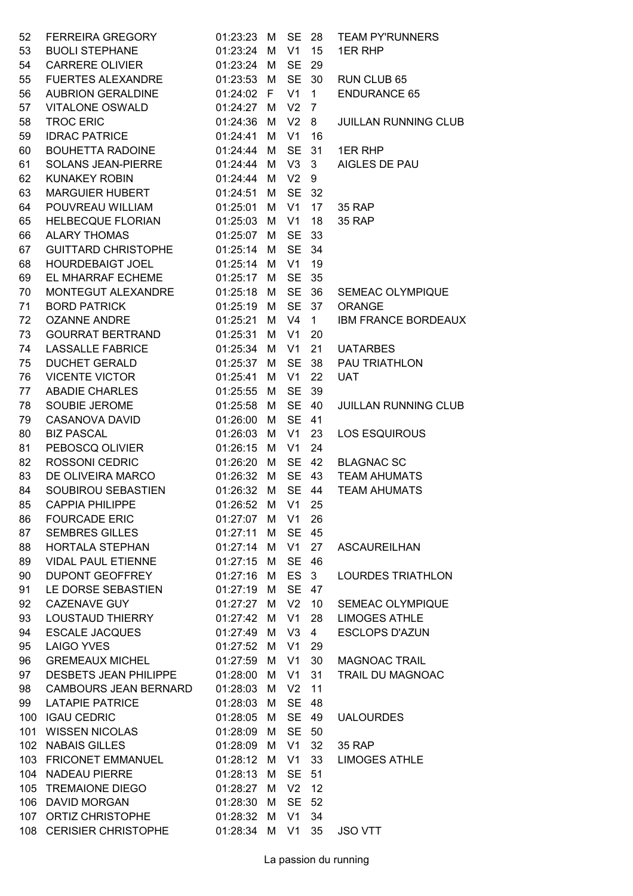| 52 | FERREIRA GREGORY                         | 01:23:23      | M | <b>SE</b>      | -28            | <b>TEAM PY'RUNNERS</b>            |
|----|------------------------------------------|---------------|---|----------------|----------------|-----------------------------------|
| 53 | <b>BUOLI STEPHANE</b>                    | 01:23:24      | M | V <sub>1</sub> | 15             | 1ER RHP                           |
| 54 | <b>CARRERE OLIVIER</b>                   | 01:23:24      | M | <b>SE</b>      | 29             |                                   |
| 55 | <b>FUERTES ALEXANDRE</b>                 | 01:23:53      | M | <b>SE</b>      | 30             | RUN CLUB 65                       |
| 56 | <b>AUBRION GERALDINE</b>                 | 01:24:02      | F | V <sub>1</sub> | $\mathbf{1}$   | <b>ENDURANCE 65</b>               |
| 57 | <b>VITALONE OSWALD</b>                   | 01:24:27      | M | V <sub>2</sub> | 7              |                                   |
| 58 | <b>TROC ERIC</b>                         | 01:24:36      | M | V <sub>2</sub> | 8              | <b>JUILLAN RUNNING CLUB</b>       |
| 59 | <b>IDRAC PATRICE</b>                     | 01:24:41      | M | V <sub>1</sub> | 16             |                                   |
| 60 | <b>BOUHETTA RADOINE</b>                  | 01:24:44      | M | <b>SE</b>      | 31             | 1ER RHP                           |
| 61 | SOLANS JEAN-PIERRE                       | 01:24:44      | M | V3             | 3              | AIGLES DE PAU                     |
| 62 | <b>KUNAKEY ROBIN</b>                     | 01:24:44      | M | V <sub>2</sub> | 9              |                                   |
| 63 | <b>MARGUIER HUBERT</b>                   | 01:24:51      | M | SE             | 32             |                                   |
| 64 | POUVREAU WILLIAM                         | 01:25:01      | M | V <sub>1</sub> | 17             | <b>35 RAP</b>                     |
| 65 | HELBECQUE FLORIAN                        | 01:25:03      | M | V <sub>1</sub> | 18             | <b>35 RAP</b>                     |
| 66 | <b>ALARY THOMAS</b>                      | 01:25:07      | M | <b>SE</b>      | 33             |                                   |
| 67 | <b>GUITTARD CHRISTOPHE</b>               | 01:25:14      | M | SE             | 34             |                                   |
| 68 | <b>HOURDEBAIGT JOEL</b>                  | 01:25:14      | M | V <sub>1</sub> | 19             |                                   |
| 69 | EL MHARRAF ECHEME                        | 01:25:17      | M | <b>SE</b>      | 35             |                                   |
|    | MONTEGUT ALEXANDRE                       |               |   | <b>SE</b>      |                |                                   |
| 70 |                                          | 01:25:18      | M |                | 36             | SEMEAC OLYMPIQUE<br><b>ORANGE</b> |
| 71 | <b>BORD PATRICK</b>                      | 01:25:19      | M | <b>SE</b>      | 37             |                                   |
| 72 | <b>OZANNE ANDRE</b>                      | 01:25:21      | M | V <sub>4</sub> | $\mathbf{1}$   | <b>IBM FRANCE BORDEAUX</b>        |
| 73 | <b>GOURRAT BERTRAND</b>                  | 01:25:31      | M | V <sub>1</sub> | 20             |                                   |
| 74 | <b>LASSALLE FABRICE</b>                  | 01:25:34      | M | V <sub>1</sub> | 21             | <b>UATARBES</b>                   |
| 75 | <b>DUCHET GERALD</b>                     | 01:25:37      | M | <b>SE</b>      | 38             | PAU TRIATHLON                     |
| 76 | <b>VICENTE VICTOR</b>                    | 01:25:41      | M | V <sub>1</sub> | 22             | <b>UAT</b>                        |
| 77 | <b>ABADIE CHARLES</b>                    | 01:25:55      | M | <b>SE</b>      | 39             |                                   |
| 78 | SOUBIE JEROME                            | 01:25:58      | M | <b>SE</b>      | 40             | <b>JUILLAN RUNNING CLUB</b>       |
| 79 | <b>CASANOVA DAVID</b>                    | 01:26:00      | M | <b>SE</b>      | 41             |                                   |
| 80 | <b>BIZ PASCAL</b>                        | 01:26:03      | M | V <sub>1</sub> | 23             | <b>LOS ESQUIROUS</b>              |
| 81 | PEBOSCQ OLIVIER                          | 01:26:15      | M | V <sub>1</sub> | 24             |                                   |
| 82 | <b>ROSSONI CEDRIC</b>                    | 01:26:20      | M | <b>SE</b>      | 42             | <b>BLAGNAC SC</b>                 |
| 83 | DE OLIVEIRA MARCO                        | 01:26:32      | M | <b>SE</b>      | 43             | <b>TEAM AHUMATS</b>               |
| 84 | SOUBIROU SEBASTIEN                       | 01:26:32      | M |                | SE 44          | <b>TEAM AHUMATS</b>               |
| 85 | <b>CAPPIA PHILIPPE</b>                   | 01:26:52      |   | M V1 25        |                |                                   |
| 86 | <b>FOURCADE ERIC</b>                     | 01:27:07 M V1 |   |                | 26             |                                   |
| 87 | <b>SEMBRES GILLES</b>                    | 01:27:11 M    |   | SE 45          |                |                                   |
| 88 | HORTALA STEPHAN                          | 01:27:14 M V1 |   |                | 27             | <b>ASCAUREILHAN</b>               |
| 89 | <b>VIDAL PAUL ETIENNE</b>                | 01:27:15      | M |                | SE 46          |                                   |
| 90 | DUPONT GEOFFREY                          | 01:27:16      | M |                | ES 3           | <b>LOURDES TRIATHLON</b>          |
| 91 | LE DORSE SEBASTIEN                       | 01:27:19      | M |                | SE 47          |                                   |
| 92 | <b>CAZENAVE GUY</b>                      | 01:27:27      | M |                | V2 10          | SEMEAC OLYMPIQUE                  |
| 93 | LOUSTAUD THIERRY                         | 01:27:42      | М | V1             | 28             | <b>LIMOGES ATHLE</b>              |
| 94 | ESCALE JACQUES                           | 01:27:49      | M | V3             | 4 <sup>1</sup> | <b>ESCLOPS D'AZUN</b>             |
| 95 | LAIGO YVES                               | 01:27:52      | M | V1             | 29             |                                   |
| 96 | <b>GREMEAUX MICHEL</b>                   | 01:27:59 M V1 |   |                | 30             | <b>MAGNOAC TRAIL</b>              |
| 97 | DESBETS JEAN PHILIPPE 01:28:00 M         |               |   | V1             | 31             | TRAIL DU MAGNOAC                  |
| 98 | <b>CAMBOURS JEAN BERNARD</b>             | 01:28:03      | M | V <sub>2</sub> | 11             |                                   |
| 99 | <b>LATAPIE PATRICE</b>                   | 01:28:03      | M | <b>SE</b>      | 48             |                                   |
|    | 100 IGAU CEDRIC                          | 01:28:05      | M |                | SE 49          | <b>UALOURDES</b>                  |
|    | 101 WISSEN NICOLAS                       | 01:28:09      | M |                | SE 50          |                                   |
|    | 102 NABAIS GILLES                        | 01:28:09      | M | V1             | 32             | <b>35 RAP</b>                     |
|    | 103 FRICONET EMMANUEL 01:28:12           |               | М | V1             | 33             | <b>LIMOGES ATHLE</b>              |
|    | 104 NADEAU PIERRE                        | 01:28:13 M    |   | SE 51          |                |                                   |
|    | 105 TREMAIONE DIEGO                      | 01:28:27      | M | $V2$ 12        |                |                                   |
|    | 106 DAVID MORGAN                         | 01:28:30 M    |   |                | SE 52          |                                   |
|    | 107 ORTIZ CHRISTOPHE 01:28:32            |               | М | V1             | 34             |                                   |
|    | 108 CERISIER CHRISTOPHE 01:28:34 M V1 35 |               |   |                |                | <b>JSO VTT</b>                    |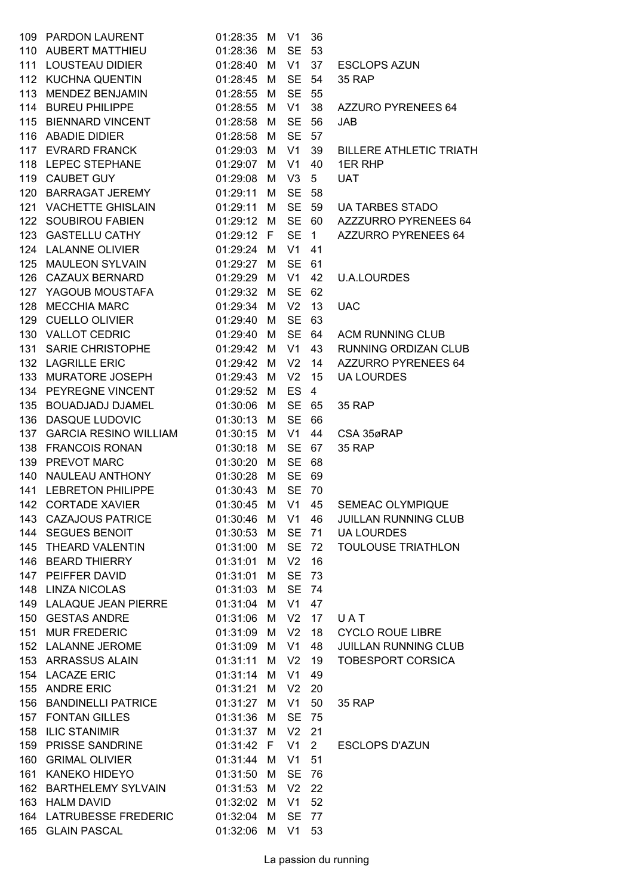|     | 109 PARDON LAURENT                      | 01:28:35         | М   | V1             | 36             |                                       |
|-----|-----------------------------------------|------------------|-----|----------------|----------------|---------------------------------------|
|     | 110 AUBERT MATTHIEU                     | 01:28:36         | М   | <b>SE</b>      | 53             |                                       |
| 111 | <b>LOUSTEAU DIDIER</b>                  | 01:28:40         | M   | V1             | 37             | <b>ESCLOPS AZUN</b>                   |
|     | 112 KUCHNA QUENTIN                      | 01:28:45 M       |     | <b>SE</b>      | 54             | <b>35 RAP</b>                         |
|     | 113 MENDEZ BENJAMIN                     | 01:28:55         | М   | <b>SE</b>      | 55             |                                       |
|     | 114 BUREU PHILIPPE                      | 01:28:55         | М   | V <sub>1</sub> | 38             | AZZURO PYRENEES 64                    |
|     | 115 BIENNARD VINCENT                    | 01:28:58         | м   | <b>SE</b>      | 56             | <b>JAB</b>                            |
|     | 116 ABADIE DIDIER                       | 01:28:58         | М   | <b>SE</b>      | 57             |                                       |
|     | 117 EVRARD FRANCK                       | 01:29:03         | М   | V1             | 39             | <b>BILLERE ATHLETIC TRIATH</b>        |
|     | 118 LEPEC STEPHANE                      | 01:29:07         | M   | V1             | 40             | 1ER RHP                               |
|     | 119 CAUBET GUY                          | 01:29:08         | М   | V <sub>3</sub> | 5              | <b>UAT</b>                            |
|     | 120 BARRAGAT JEREMY                     | 01:29:11         | М   | <b>SE</b>      | 58             |                                       |
| 121 | <b>VACHETTE GHISLAIN</b>                | 01:29:11         | M   | <b>SE</b>      | 59             | <b>UA TARBES STADO</b>                |
|     | 122 SOUBIROU FABIEN                     | 01:29:12         | - M |                | SE 60          | AZZZURRO PYRENEES 64                  |
| 123 | <b>GASTELLU CATHY</b>                   | 01:29:12         | F   | <b>SE</b>      | $\mathbf{1}$   | AZZURRO PYRENEES 64                   |
|     | 124 LALANNE OLIVIER                     | 01:29:24         | М   | V1             | 41             |                                       |
|     | 125 MAULEON SYLVAIN                     | 01:29:27         | M   | <b>SE</b>      | 61             |                                       |
|     | 126 CAZAUX BERNARD                      | 01:29:29         | M   | V1             | 42             | <b>U.A.LOURDES</b>                    |
|     | 127 YAGOUB MOUSTAFA                     | 01:29:32         | M   | <b>SE</b>      | 62             |                                       |
| 128 | <b>MECCHIA MARC</b>                     | 01:29:34         | М   | V <sub>2</sub> | 13             | <b>UAC</b>                            |
| 129 | <b>CUELLO OLIVIER</b>                   | 01:29:40         | М   | <b>SE</b>      | 63             |                                       |
|     | 130 VALLOT CEDRIC                       | 01:29:40         | М   | <b>SE</b>      | 64             | <b>ACM RUNNING CLUB</b>               |
|     | 131 SARIE CHRISTOPHE                    | 01:29:42 M       |     | V1             | 43             | RUNNING ORDIZAN CLUB                  |
|     | 132 LAGRILLE ERIC                       | 01:29:42         | М   | V <sub>2</sub> | 14             | <b>AZZURRO PYRENEES 64</b>            |
| 133 | MURATORE JOSEPH                         | 01:29:43         | м   | V <sub>2</sub> | 15             | <b>UA LOURDES</b>                     |
|     | 134 PEYREGNE VINCENT                    | 01:29:52         | M   | ES.            | $\overline{4}$ |                                       |
| 135 | <b>BOUADJADJ DJAMEL</b>                 | 01:30:06         | M   | <b>SE</b>      | 65             | 35 RAP                                |
| 136 | <b>DASQUE LUDOVIC</b>                   | 01:30:13         | M   | <b>SE</b>      | 66             |                                       |
| 137 | <b>GARCIA RESINO WILLIAM</b>            | 01:30:15         | м   | V1             | 44             | CSA 35øRAP                            |
| 138 | <b>FRANCOIS RONAN</b>                   | 01:30:18         | М   | <b>SE</b>      | 67             | 35 RAP                                |
| 139 | PREVOT MARC                             | 01:30:20         | М   | <b>SE</b>      | 68             |                                       |
| 140 | NAULEAU ANTHONY                         | 01:30:28         | M   | <b>SE</b>      | 69             |                                       |
| 141 | <b>LEBRETON PHILIPPE</b>                | 01:30:43         | М   | <b>SE</b>      | 70             |                                       |
|     | 142 CORTADE XAVIER                      |                  |     |                |                | 01:30:45 M V1 45 SEMEAC OLYMPIQUE     |
|     | 143 CAZAJOUS PATRICE                    |                  |     |                |                | 01:30:46 M V1 46 JUILLAN RUNNING CLUB |
|     | 144 SEGUES BENOIT                       | 01:30:53 M       |     |                |                | SE 71 UA LOURDES                      |
|     | 145 THEARD VALENTIN                     | 01:31:00 M       |     |                | SE 72          | <b>TOULOUSE TRIATHLON</b>             |
|     | 146 BEARD THIERRY                       | 01:31:01 M       |     | V <sub>2</sub> | 16             |                                       |
|     | 147 PEIFFER DAVID                       | 01:31:01 M       |     | <b>SE</b>      | 73             |                                       |
|     | 148 LINZA NICOLAS                       | 01:31:03 M       |     | <b>SE</b>      | 74             |                                       |
|     | 149 LALAQUE JEAN PIERRE                 | 01:31:04 M       |     | V1 47          |                |                                       |
|     | 150 GESTAS ANDRE                        | 01:31:06 M       |     | V <sub>2</sub> | 17             | UAT                                   |
|     | 151 MUR FREDERIC                        | 01:31:09 M       |     | V <sub>2</sub> | 18             | <b>CYCLO ROUE LIBRE</b>               |
|     | 152 LALANNE JEROME                      | 01:31:09 M       |     | V1             | 48             | JUILLAN RUNNING CLUB                  |
|     | 153 ARRASSUS ALAIN                      | 01:31:11 M       |     | V <sub>2</sub> | 19             | <b>TOBESPORT CORSICA</b>              |
|     | 154 LACAZE ERIC                         | 01:31:14 M       |     | V1             | 49             |                                       |
|     | 155 ANDRE ERIC                          | 01:31:21 M       |     | V <sub>2</sub> | 20             |                                       |
|     | 156 BANDINELLI PATRICE                  | 01:31:27 M       |     | V1             | 50             | <b>35 RAP</b>                         |
|     | 157 FONTAN GILLES                       | 01:31:36 M       |     | <b>SE</b>      | 75             |                                       |
|     | 158 ILIC STANIMIR                       | 01:31:37 M       |     | V <sub>2</sub> | 21             |                                       |
|     | 159 PRISSE SANDRINE                     | 01:31:42 F V1 2  |     |                |                | <b>ESCLOPS D'AZUN</b>                 |
|     | 160 GRIMAL OLIVIER                      | 01:31:44 M       |     | V1             | 51             |                                       |
|     | 161 KANEKO HIDEYO                       | 01:31:50 M       |     | <b>SE</b>      | - 76           |                                       |
|     | 162 BARTHELEMY SYLVAIN                  | 01:31:53 M       |     | V <sub>2</sub> | 22             |                                       |
|     | 163 HALM DAVID                          | 01:32:02 M       |     | V1             | 52             |                                       |
|     | 164 LATRUBESSE FREDERIC                 | 01:32:04 M       |     | <b>SE</b>      | 77             |                                       |
|     | 165 GLAIN PASCAL <b>Andrew Strutter</b> | 01:32:06 M V1 53 |     |                |                |                                       |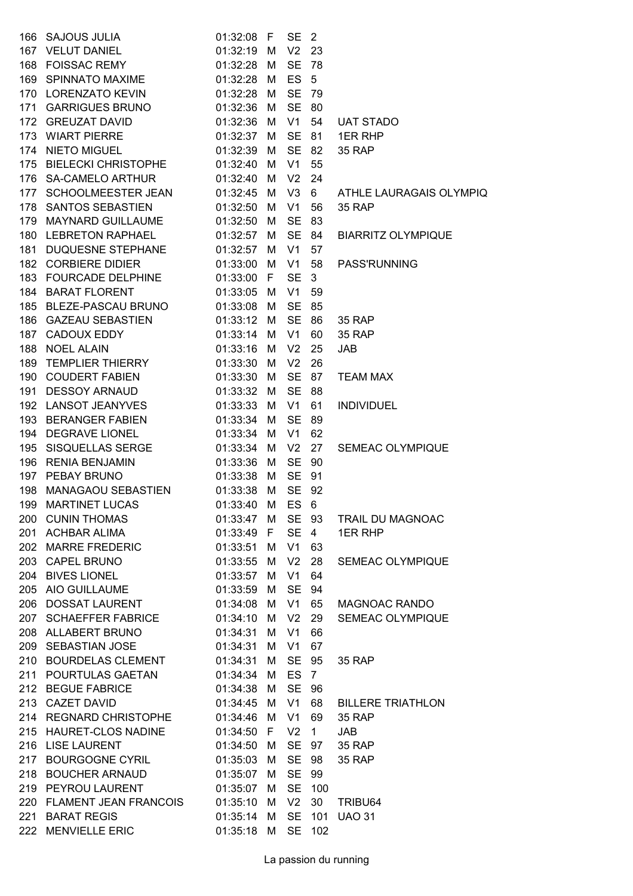| 166 SAJOUS JULIA              | 01:32:08 F |   | <b>SE</b>       | $\overline{\phantom{0}}^2$ |                           |
|-------------------------------|------------|---|-----------------|----------------------------|---------------------------|
| 167 VELUT DANIEL              | 01:32:19   | M | V <sub>2</sub>  | - 23                       |                           |
| 168 FOISSAC REMY              | 01:32:28   | М | <b>SE</b>       | - 78                       |                           |
| 169 SPINNATO MAXIME           | 01:32:28   | M | ES <sub>5</sub> |                            |                           |
| 170 LORENZATO KEVIN           | 01:32:28 M |   | SE 79           |                            |                           |
| 171 GARRIGUES BRUNO           | 01:32:36   | M | <b>SE</b>       | -80                        |                           |
| 172 GREUZAT DAVID             | 01:32:36   | М | V1              | 54                         | <b>UAT STADO</b>          |
| 173 WIART PIERRE              | 01:32:37   | M | SE              | 81                         | 1ER RHP                   |
| 174 NIETO MIGUEL              | 01:32:39   | M | SE 82           |                            | 35 RAP                    |
| 175 BIELECKI CHRISTOPHE       | 01:32:40   | M | V1              | 55                         |                           |
| 176 SA-CAMELO ARTHUR          | 01:32:40   | М | V <sub>2</sub>  | 24                         |                           |
| 177 SCHOOLMEESTER JEAN        | 01:32:45   | M | V3              | 6                          | ATHLE LAURAGAIS OLYMPIQ   |
| 178 SANTOS SEBASTIEN          | 01:32:50   | M | V1              | 56                         | <b>35 RAP</b>             |
| 179 MAYNARD GUILLAUME         | 01:32:50   | M | SE 83           |                            |                           |
| 180 LEBRETON RAPHAEL          | 01:32:57   | M | SE 84           |                            | <b>BIARRITZ OLYMPIQUE</b> |
| 181 DUQUESNE STEPHANE         | 01:32:57   | М | V <sub>1</sub>  | 57                         |                           |
| 182 CORBIERE DIDIER           | 01:33:00   | M | V1              | 58                         | <b>PASS'RUNNING</b>       |
| 183 FOURCADE DELPHINE         | 01:33:00 F |   | <b>SE</b>       | 3                          |                           |
| 184 BARAT FLORENT             | 01:33:05 M |   | V1              | 59                         |                           |
| 185 BLEZE-PASCAU BRUNO        | 01:33:08   | М | <b>SE</b>       | 85                         |                           |
| 186 GAZEAU SEBASTIEN 01:33:12 |            | M | <b>SE</b>       | 86                         | <b>35 RAP</b>             |
| 187 CADOUX EDDY               | 01:33:14   | M | V1              | 60                         | <b>35 RAP</b>             |
| 188 NOEL ALAIN                | 01:33:16 M |   | V <sub>2</sub>  | 25                         | <b>JAB</b>                |
| 189 TEMPLIER THIERRY          | 01:33:30   | M | V <sub>2</sub>  | 26                         |                           |
| 190 COUDERT FABIEN            | 01:33:30   | М | <b>SE</b>       | 87                         | <b>TEAM MAX</b>           |
| 191 DESSOY ARNAUD             | 01:33:32   | M | <b>SE</b>       | 88                         |                           |
| 192 LANSOT JEANYVES           | 01:33:33   | M | V1              | 61                         | <b>INDIVIDUEL</b>         |
| 193 BERANGER FABIEN           | 01:33:34   | M | <b>SE</b>       | - 89                       |                           |
| 194 DEGRAVE LIONEL            | 01:33:34   | М | V <sub>1</sub>  | 62                         |                           |
| 195 SISQUELLAS SERGE          | 01:33:34   | М | V <sub>2</sub>  | 27                         | <b>SEMEAC OLYMPIQUE</b>   |
| 196 RENIA BENJAMIN            | 01:33:36   | M | <b>SE</b>       | 90                         |                           |
| 197 PEBAY BRUNO               | 01:33:38   | M | SE 91           |                            |                           |
| 198 MANAGAOU SEBASTIEN        | 01:33:38 M |   | SE 92           |                            |                           |
| 199 MARTINET LUCAS            | 01:33:40 M |   | ES 6            |                            |                           |
| 200 CUNIN THOMAS              | 01:33:47   | М | SE 93           |                            | TRAIL DU MAGNOAC          |
| 201 ACHBAR ALIMA              | 01:33:49 F |   | SE 4            |                            | 1ER RHP                   |
| 202 MARRE FREDERIC            | 01:33:51 M |   | V1 63           |                            |                           |
| 203 CAPEL BRUNO               | 01:33:55   | М | V <sub>2</sub>  | 28                         | SEMEAC OLYMPIQUE          |
| 204 BIVES LIONEL              | 01:33:57   | M | V1              | 64                         |                           |
| 205 AIO GUILLAUME             | 01:33:59   | M | <b>SE</b>       | 94                         |                           |
| 206 DOSSAT LAURENT            | 01:34:08   | M | V1              | 65                         | <b>MAGNOAC RANDO</b>      |
| 207 SCHAEFFER FABRICE         | 01:34:10   | M | V <sub>2</sub>  | 29                         | SEMEAC OLYMPIQUE          |
| 208 ALLABERT BRUNO            | 01:34:31   | М | V <sub>1</sub>  | 66                         |                           |
| 209 SEBASTIAN JOSE            | 01:34:31   | М | V1              | 67                         |                           |
| 210 BOURDELAS CLEMENT         | 01:34:31   | M | SE 95           |                            | <b>35 RAP</b>             |
| 211 POURTULAS GAETAN          | 01:34:34 M |   | <b>ES</b>       | $\overline{7}$             |                           |
| 212 BEGUE FABRICE             | 01:34:38   | М | <b>SE</b>       | -96                        |                           |
| 213 CAZET DAVID               | 01:34:45   | М | V1              | 68                         | <b>BILLERE TRIATHLON</b>  |
| 214 REGNARD CHRISTOPHE        | 01:34:46   | M | V1              | 69                         | <b>35 RAP</b>             |
| 215 HAURET-CLOS NADINE        | 01:34:50 F |   | V <sub>2</sub>  | $\overline{1}$             | <b>JAB</b>                |
| 216 LISE LAURENT              | 01:34:50   | М | SE 97           |                            | <b>35 RAP</b>             |
| 217 BOURGOGNE CYRIL           | 01:35:03   | М | <b>SE</b>       | 98                         | <b>35 RAP</b>             |
| 218 BOUCHER ARNAUD            | 01:35:07   | M | <b>SE</b>       | 99                         |                           |
| 219 PEYROU LAURENT            | 01:35:07   | M | <b>SE</b>       | 100                        |                           |
| 220 FLAMENT JEAN FRANCOIS     | 01:35:10   | M | V <sub>2</sub>  | 30                         | TRIBU64                   |
| 221 BARAT REGIS               | 01:35:14   | М | <b>SE</b>       | 101                        | <b>UAO 31</b>             |
| 222 MENVIELLE ERIC            | 01:35:18   | M | <b>SE</b>       | 102                        |                           |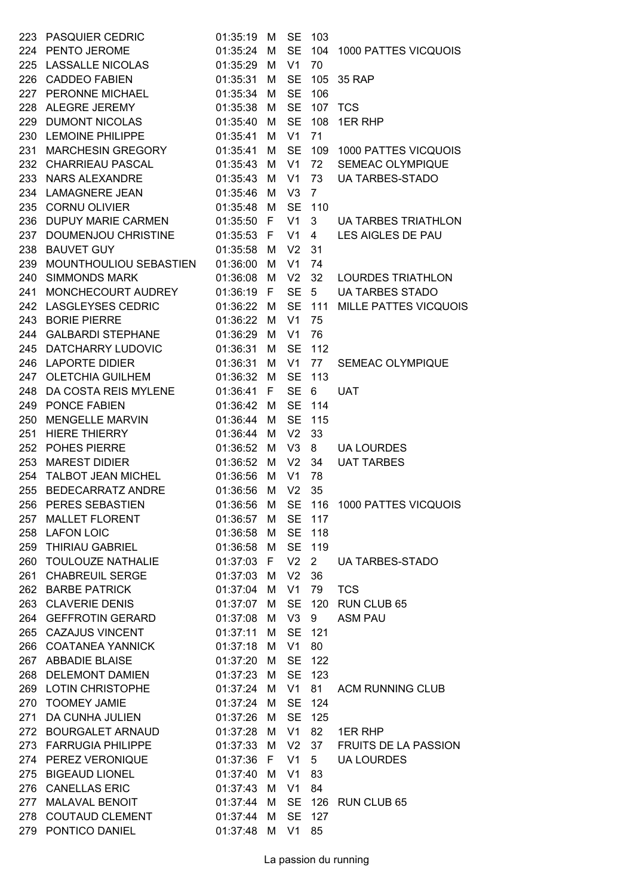| 223 | <b>PASQUIER CEDRIC</b>   | 01:35:19   | M            | <b>SE</b>      | 103             |                              |
|-----|--------------------------|------------|--------------|----------------|-----------------|------------------------------|
|     | 224 PENTO JEROME         | 01:35:24   | M            | <b>SE</b>      | 104             | 1000 PATTES VICQUOIS         |
| 225 | LASSALLE NICOLAS         | 01:35:29   | M            | V <sub>1</sub> | 70              |                              |
|     | 226 CADDEO FABIEN        | 01:35:31   | M            | <b>SE</b>      | 105             | 35 RAP                       |
| 227 | PERONNE MICHAEL          | 01:35:34   | M            | <b>SE</b>      | 106             |                              |
| 228 | ALEGRE JEREMY            | 01:35:38   | M            | <b>SE</b>      | 107             | <b>TCS</b>                   |
| 229 | <b>DUMONT NICOLAS</b>    | 01:35:40   | M            | <b>SE</b>      | 108             | 1ER RHP                      |
| 230 | <b>LEMOINE PHILIPPE</b>  | 01:35:41   | M            | V <sub>1</sub> | 71              |                              |
| 231 | MARCHESIN GREGORY        | 01:35:41   | M            | <b>SE</b>      | 109             | 1000 PATTES VICQUOIS         |
|     | 232 CHARRIEAU PASCAL     | 01:35:43   | M            | V <sub>1</sub> | 72              | <b>SEMEAC OLYMPIQUE</b>      |
| 233 | NARS ALEXANDRE           | 01:35:43   | M            | V <sub>1</sub> | 73              | <b>UA TARBES-STADO</b>       |
| 234 | <b>LAMAGNERE JEAN</b>    | 01:35:46   | M            | V <sub>3</sub> | $\overline{7}$  |                              |
| 235 | <b>CORNU OLIVIER</b>     | 01:35:48   | M            | <b>SE</b>      | 110             |                              |
| 236 | DUPUY MARIE CARMEN       | 01:35:50   | $\mathsf{F}$ | V <sub>1</sub> | 3               | <b>UA TARBES TRIATHLON</b>   |
| 237 | DOUMENJOU CHRISTINE      | 01:35:53   | -F           | V <sub>1</sub> | $\overline{4}$  | LES AIGLES DE PAU            |
| 238 | <b>BAUVET GUY</b>        | 01:35:58   | M            | V <sub>2</sub> | 31              |                              |
| 239 | MOUNTHOULIOU SEBASTIEN   | 01:36:00   | M            | V <sub>1</sub> | 74              |                              |
| 240 | <b>SIMMONDS MARK</b>     | 01:36:08   | M            | V <sub>2</sub> | 32              | <b>LOURDES TRIATHLON</b>     |
| 241 | MONCHECOURT AUDREY       | 01:36:19   | $\mathsf{F}$ | <b>SE</b>      | $5\overline{)}$ | <b>UA TARBES STADO</b>       |
| 242 | <b>LASGLEYSES CEDRIC</b> | 01:36:22   | M            | <b>SE</b>      | 111             | <b>MILLE PATTES VICQUOIS</b> |
| 243 | <b>BORIE PIERRE</b>      | 01:36:22   | M            | V <sub>1</sub> | 75              |                              |
| 244 | <b>GALBARDI STEPHANE</b> | 01:36:29   | M            | V <sub>1</sub> | 76              |                              |
| 245 | DATCHARRY LUDOVIC        | 01:36:31   | M            | <b>SE</b>      | 112             |                              |
|     | 246 LAPORTE DIDIER       | 01:36:31   | M            | V <sub>1</sub> | 77              | SEMEAC OLYMPIQUE             |
| 247 | <b>OLETCHIA GUILHEM</b>  | 01:36:32   | M            | <b>SE</b>      | 113             |                              |
| 248 | DA COSTA REIS MYLENE     | 01:36:41   | F            | <b>SE</b>      | 6               | <b>UAT</b>                   |
| 249 | PONCE FABIEN             | 01:36:42   | M            | <b>SE</b>      | 114             |                              |
| 250 | <b>MENGELLE MARVIN</b>   | 01:36:44   | M            | <b>SE</b>      | 115             |                              |
| 251 | <b>HIERE THIERRY</b>     | 01:36:44   | M            | V <sub>2</sub> | 33              |                              |
| 252 | POHES PIERRE             | 01:36:52   | M            | V <sub>3</sub> | 8               | <b>UA LOURDES</b>            |
| 253 | <b>MAREST DIDIER</b>     | 01:36:52   | M            | V <sub>2</sub> | 34              | <b>UAT TARBES</b>            |
| 254 | TALBOT JEAN MICHEL       | 01:36:56   | M            | V <sub>1</sub> | 78              |                              |
| 255 | <b>BEDECARRATZ ANDRE</b> | 01:36:56   | M            | V <sub>2</sub> | 35              |                              |
| 256 | PERES SEBASTIEN          | 01:36:56   | M            | <b>SE</b>      |                 | 116 1000 PATTES VICQUOIS     |
| 257 | MALLET FLORENT           | 01:36:57   | М            |                | SE 117          |                              |
|     | 258 LAFON LOIC           | 01:36:58 M |              |                | SE 118          |                              |
|     | 259 THIRIAU GABRIEL      | 01:36:58 M |              |                | SE 119          |                              |
|     | 260 TOULOUZE NATHALIE    | 01:37:03 F |              | V <sub>2</sub> | $\overline{2}$  | <b>UA TARBES-STADO</b>       |
| 261 | <b>CHABREUIL SERGE</b>   | 01:37:03   | М            | V <sub>2</sub> | 36              |                              |
|     | 262 BARBE PATRICK        | 01:37:04   | M            | V <sub>1</sub> | 79              | <b>TCS</b>                   |
|     | 263 CLAVERIE DENIS       | 01:37:07   | М            | <b>SE</b>      |                 | 120 RUN CLUB 65              |
|     | 264 GEFFROTIN GERARD     | 01:37:08   | M            | V3             | 9               | <b>ASM PAU</b>               |
|     | 265 CAZAJUS VINCENT      | 01:37:11   | M            | <b>SE</b>      | 121             |                              |
|     | 266 COATANEA YANNICK     | 01:37:18   | М            | V <sub>1</sub> | 80              |                              |
|     | 267 ABBADIE BLAISE       | 01:37:20   | M            |                | SE 122          |                              |
|     | 268 DELEMONT DAMIEN      | 01:37:23   | M            | SE             | 123             |                              |
|     | 269 LOTIN CHRISTOPHE     | 01:37:24   | M            | V <sub>1</sub> | 81              | <b>ACM RUNNING CLUB</b>      |
|     | 270 TOOMEY JAMIE         | 01:37:24   | M            | <b>SE</b>      | 124             |                              |
| 271 | DA CUNHA JULIEN          | 01:37:26   | M            | <b>SE</b>      | 125             |                              |
|     | 272 BOURGALET ARNAUD     | 01:37:28   | М            | V <sub>1</sub> | 82              | 1ER RHP                      |
|     | 273 FARRUGIA PHILIPPE    | 01:37:33   | M            | V <sub>2</sub> | 37              | <b>FRUITS DE LA PASSION</b>  |
|     | 274 PEREZ VERONIQUE      | 01:37:36   | E            | V <sub>1</sub> | 5 <sup>5</sup>  | <b>UA LOURDES</b>            |
| 275 | <b>BIGEAUD LIONEL</b>    | 01:37:40   | М            | V <sub>1</sub> | 83              |                              |
|     | 276 CANELLAS ERIC        | 01:37:43   | M            | V <sub>1</sub> | 84              |                              |
|     | 277 MALAVAL BENOIT       | 01:37:44   | M            |                |                 | SE 126 RUN CLUB 65           |
|     | 278 COUTAUD CLEMENT      | 01:37:44   | М            |                | SE 127          |                              |
|     | 279 PONTICO DANIEL       | 01:37:48   | M            | V1             | 85              |                              |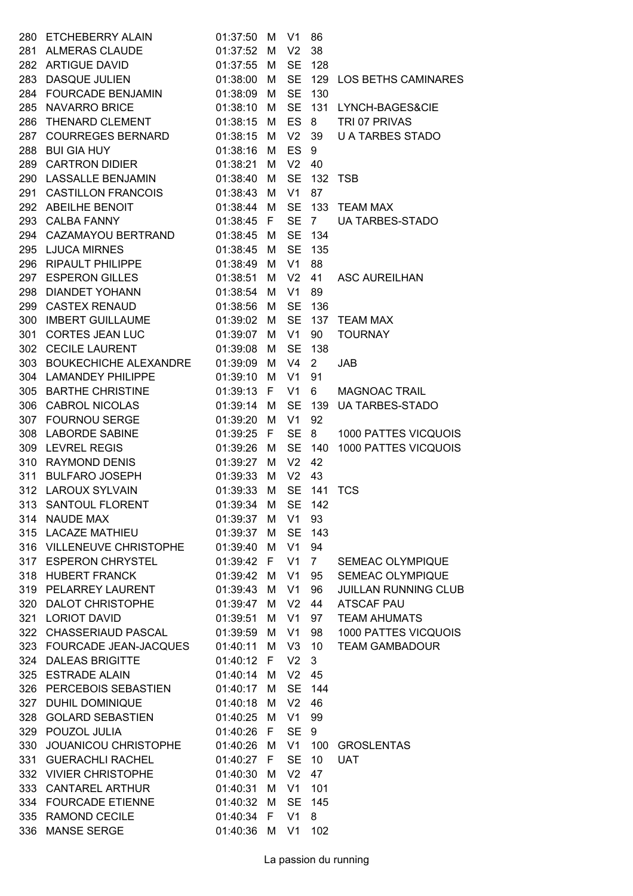|     | 280 ETCHEBERRY ALAIN               | 01:37:50 M |   | V <sub>1</sub> | 86              |                             |
|-----|------------------------------------|------------|---|----------------|-----------------|-----------------------------|
|     | 281 ALMERAS CLAUDE                 | 01:37:52   | M | V <sub>2</sub> | 38              |                             |
|     | 282 ARTIGUE DAVID                  | 01:37:55   | M | <b>SE</b>      | 128             |                             |
| 283 | <b>DASQUE JULIEN</b>               | 01:38:00   | M | <b>SE</b>      |                 | 129 LOS BETHS CAMINARES     |
|     | 284 FOURCADE BENJAMIN 01:38:09     |            | M | <b>SE</b>      | 130             |                             |
|     | 285 NAVARRO BRICE                  | 01:38:10   | M | <b>SE</b>      |                 | 131 LYNCH-BAGES&CIE         |
| 286 | THENARD CLEMENT                    | 01:38:15   | M | <b>ES</b>      | 8               | TRI 07 PRIVAS               |
| 287 | COURREGES BERNARD                  | 01:38:15   | M | V <sub>2</sub> | 39              | <b>U A TARBES STADO</b>     |
| 288 | <b>BUI GIA HUY</b>                 | 01:38:16   | M | <b>ES</b>      | 9               |                             |
| 289 | <b>CARTRON DIDIER</b>              | 01:38:21   | M | V <sub>2</sub> | 40              |                             |
|     | 290 LASSALLE BENJAMIN              | 01:38:40   | M | <b>SE</b>      |                 | 132 TSB                     |
| 291 | CASTILLON FRANCOIS                 | 01:38:43   | M | V <sub>1</sub> | 87              |                             |
|     | 292 ABEILHE BENOIT                 | 01:38:44   | M | <b>SE</b>      |                 | 133 TEAM MAX                |
|     | 293 CALBA FANNY                    | 01:38:45 F |   | <b>SE</b>      | $7^{\circ}$     | <b>UA TARBES-STADO</b>      |
|     | 294 CAZAMAYOU BERTRAND 01:38:45    |            | M | <b>SE</b>      | 134             |                             |
|     | 295 LJUCA MIRNES                   | 01:38:45   | M | <b>SE</b>      | 135             |                             |
|     | 296 RIPAULT PHILIPPE               | 01:38:49   | M | V <sub>1</sub> | 88              |                             |
|     | 297 ESPERON GILLES                 | 01:38:51   | M | V <sub>2</sub> | 41              | <b>ASC AUREILHAN</b>        |
|     | 298 DIANDET YOHANN                 | 01:38:54   | M | V <sub>1</sub> | 89              |                             |
|     | 299 CASTEX RENAUD                  | 01:38:56   | M | <b>SE</b>      | 136             |                             |
| 300 | <b>IMBERT GUILLAUME</b>            | 01:39:02   | M | <b>SE</b>      | 137             | <b>TEAM MAX</b>             |
| 301 | CORTES JEAN LUC                    | 01:39:07   | M | V <sub>1</sub> | 90              | <b>TOURNAY</b>              |
|     | 302 CECILE LAURENT                 | 01:39:08   | M | <b>SE</b>      | 138             |                             |
|     | 303 BOUKECHICHE ALEXANDRE 01:39:09 |            | M | V <sub>4</sub> | $\overline{2}$  | <b>JAB</b>                  |
|     | 304 LAMANDEY PHILIPPE              | 01:39:10   | M | V <sub>1</sub> | 91              |                             |
|     | 305 BARTHE CHRISTINE               | 01:39:13   | F | V <sub>1</sub> | 6               | <b>MAGNOAC TRAIL</b>        |
|     | 306 CABROL NICOLAS                 | 01:39:14   | M | <b>SE</b>      | 139             | <b>UA TARBES-STADO</b>      |
|     | 307 FOURNOU SERGE                  | 01:39:20   | M | V <sub>1</sub> | 92              |                             |
|     | 308 LABORDE SABINE                 | 01:39:25 F |   | <b>SE</b>      | 8               | 1000 PATTES VICQUOIS        |
| 309 | <b>LEVREL REGIS</b>                | 01:39:26   | M | <b>SE</b>      | 140             | 1000 PATTES VICQUOIS        |
|     | 310 RAYMOND DENIS                  | 01:39:27   | M | V <sub>2</sub> | 42              |                             |
|     | 311 BULFARO JOSEPH                 | 01:39:33   | M | V <sub>2</sub> | 43              |                             |
|     | 312 LAROUX SYLVAIN                 | 01:39:33   | M |                |                 | <b>SE 141 TCS</b>           |
|     | 313 SANTOUL FLORENT                | 01:39:34   | M | SE             | 142             |                             |
| 314 | <b>NAUDE MAX</b>                   | 01:39:37   | M | V <sub>1</sub> | 93              |                             |
|     | 315 LACAZE MATHIEU                 | 01:39:37   | M | <b>SE</b>      | 143             |                             |
|     | 316 VILLENEUVE CHRISTOPHE          | 01:39:40   | M | V1             | 94              |                             |
|     | 317 ESPERON CHRYSTEL               | 01:39:42 F |   | V <sub>1</sub> | $7\overline{ }$ | SEMEAC OLYMPIQUE            |
| 318 | <b>HUBERT FRANCK</b>               | 01:39:42   | M | V <sub>1</sub> | 95              | SEMEAC OLYMPIQUE            |
| 319 | PELARREY LAURENT                   | 01:39:43   | M | V <sub>1</sub> | 96              | <b>JUILLAN RUNNING CLUB</b> |
|     | 320 DALOT CHRISTOPHE               | 01:39:47   | M | V <sub>2</sub> | 44              | <b>ATSCAF PAU</b>           |
|     | 321 LORIOT DAVID                   | 01:39:51   | M | V <sub>1</sub> | 97              | <b>TEAM AHUMATS</b>         |
|     | 322 CHASSERIAUD PASCAL             | 01:39:59   | M | V <sub>1</sub> | 98              | 1000 PATTES VICQUOIS        |
|     | 323 FOURCADE JEAN-JACQUES          | 01:40:11   | M | V <sub>3</sub> | 10 <sup>°</sup> | <b>TEAM GAMBADOUR</b>       |
|     | 324 DALEAS BRIGITTE                | 01:40:12   | F | V <sub>2</sub> | 3               |                             |
|     | 325 ESTRADE ALAIN                  | 01:40:14   | M | V <sub>2</sub> | 45              |                             |
|     | 326 PERCEBOIS SEBASTIEN            | 01:40:17   | M | <b>SE</b>      | 144             |                             |
| 327 | <b>DUHIL DOMINIQUE</b>             | 01:40:18   | M | V <sub>2</sub> | 46              |                             |
| 328 | <b>GOLARD SEBASTIEN</b>            | 01:40:25   | M | V1             | 99              |                             |
|     | 329 POUZOL JULIA                   | 01:40:26 F |   | <b>SE</b>      | 9               |                             |
| 330 | JOUANICOU CHRISTOPHE               | 01:40:26   | M | V1             | 100             | <b>GROSLENTAS</b>           |
| 331 | <b>GUERACHLI RACHEL</b>            | 01:40:27   | F | <b>SE</b>      | 10              | <b>UAT</b>                  |
|     | 332 VIVIER CHRISTOPHE              | 01:40:30   | M | V <sub>2</sub> | 47              |                             |
|     | 333 CANTAREL ARTHUR                | 01:40:31   | M | V1             | 101             |                             |
|     | 334 FOURCADE ETIENNE               | 01:40:32   | M | <b>SE</b>      | 145             |                             |
|     | 335 RAMOND CECILE                  | 01:40:34   | F | V <sub>1</sub> | 8               |                             |
| 336 | <b>MANSE SERGE</b>                 | 01:40:36   | M | V <sub>1</sub> | 102             |                             |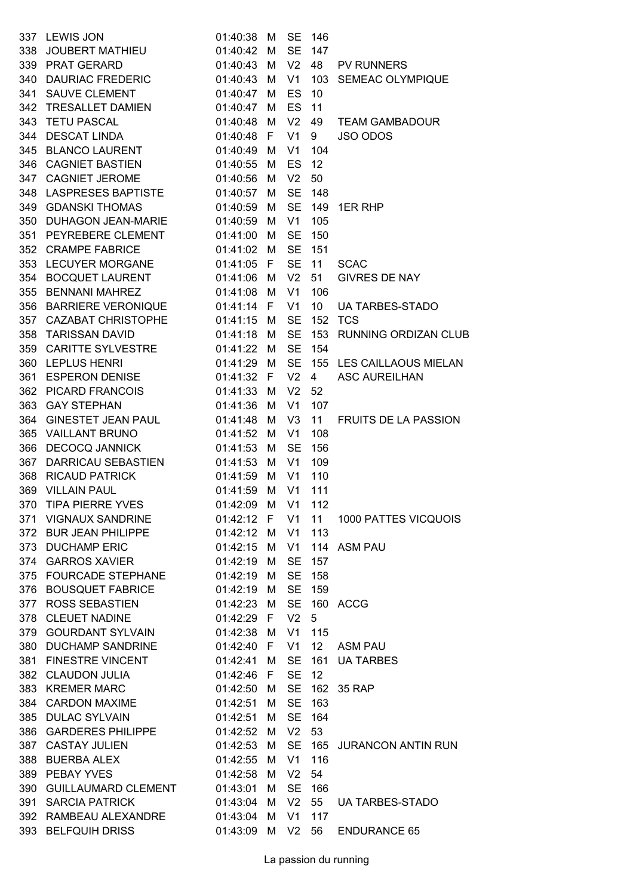| 337 | <b>LEWIS JON</b>                                           | 01:40:38 | M  | <b>SE</b>      | 146             |                             |
|-----|------------------------------------------------------------|----------|----|----------------|-----------------|-----------------------------|
| 338 | JOUBERT MATHIEU                                            | 01:40:42 | M  | <b>SE</b>      | 147             |                             |
|     | 339 PRAT GERARD                                            | 01:40:43 | М  | V <sub>2</sub> | 48              | <b>PV RUNNERS</b>           |
|     | 340 DAURIAC FREDERIC                                       | 01:40:43 | M  | V1             |                 | 103 SEMEAC OLYMPIQUE        |
|     | 341 SAUVE CLEMENT                                          | 01:40:47 | M  | <b>ES</b>      | 10              |                             |
| 342 | TRESALLET DAMIEN                                           | 01:40:47 | м  | ES             | 11              |                             |
|     | 343 TETU PASCAL                                            | 01:40:48 | M  | V <sub>2</sub> | 49              | <b>TEAM GAMBADOUR</b>       |
|     | 344 DESCAT LINDA                                           | 01:40:48 | F. | V <sub>1</sub> | 9               | <b>JSO ODOS</b>             |
|     | 345 BLANCO LAURENT                                         | 01:40:49 | M  | V <sub>1</sub> | 104             |                             |
|     | 346 CAGNIET BASTIEN                                        | 01:40:55 | M  | ES             | 12              |                             |
| 347 | <b>CAGNIET JEROME</b>                                      | 01:40:56 | м  | V <sub>2</sub> | 50              |                             |
|     | 348 LASPRESES BAPTISTE 01:40:57                            |          | М  | <b>SE</b>      | 148             |                             |
|     | 349 GDANSKI THOMAS                                         | 01:40:59 | М  | <b>SE</b>      | 149             | 1ER RHP                     |
|     | 350 DUHAGON JEAN-MARIE 01:40:59                            |          | M  | V <sub>1</sub> | 105             |                             |
|     | 351 PEYREBERE CLEMENT 01:41:00                             |          | M  | <b>SE</b>      | 150             |                             |
|     | 352 CRAMPE FABRICE                                         | 01:41:02 | M  | <b>SE</b>      | 151             |                             |
|     | 353 LECUYER MORGANE                                        | 01:41:05 | F. | <b>SE</b>      | 11              | <b>SCAC</b>                 |
|     | 354 BOCQUET LAURENT                                        | 01:41:06 | М  | V <sub>2</sub> | 51              | <b>GIVRES DE NAY</b>        |
| 355 | <b>BENNANI MAHREZ</b>                                      | 01:41:08 | M  | V <sub>1</sub> | 106             |                             |
|     | 356 BARRIERE VERONIQUE 01:41:14                            |          | F. | V <sub>1</sub> | 10 <sup>°</sup> | <b>UA TARBES-STADO</b>      |
|     | 357 CAZABAT CHRISTOPHE 01:41:15                            |          | М  | <b>SE</b>      |                 | <b>152 TCS</b>              |
|     | 358 TARISSAN DAVID                                         | 01:41:18 | М  | <b>SE</b>      |                 | 153 RUNNING ORDIZAN CLUB    |
|     | 359 CARITTE SYLVESTRE                                      | 01:41:22 | M  | <b>SE</b>      | 154             |                             |
|     | 360 LEPLUS HENRI                                           | 01:41:29 | M  | <b>SE</b>      |                 | 155 LES CAILLAOUS MIELAN    |
|     | 361 ESPERON DENISE 01:41:32                                |          | F. | V <sub>2</sub> | $\overline{4}$  | <b>ASC AUREILHAN</b>        |
|     | 362 PICARD FRANCOIS                                        | 01:41:33 | M  | V <sub>2</sub> | 52              |                             |
|     | 363 GAY STEPHAN                                            | 01:41:36 | М  | V <sub>1</sub> | 107             |                             |
| 364 | GINESTET JEAN PAUL                                         | 01:41:48 | M  | V <sub>3</sub> | 11              | <b>FRUITS DE LA PASSION</b> |
| 365 | <b>VAILLANT BRUNO</b>                                      | 01:41:52 | м  | V <sub>1</sub> | 108             |                             |
|     | 366 DECOCQ JANNICK                                         | 01:41:53 | M  | <b>SE</b>      | 156             |                             |
| 367 | DARRICAU SEBASTIEN                                         | 01:41:53 | М  | V1             | 109             |                             |
| 368 | <b>RICAUD PATRICK</b>                                      | 01:41:59 | M  | V <sub>1</sub> | 110             |                             |
| 369 | <b>VILLAIN PAUL</b>                                        | 01:41:59 | M  | V <sub>1</sub> | 111             |                             |
|     | 370 TIPA PIERRE YVES    01:42:09 M    V1    112            |          |    |                |                 |                             |
|     | 371 VIGNAUX SANDRINE 01:42:12 F V1 11 1000 PATTES VICQUOIS |          |    |                |                 |                             |
|     | 372 BUR JEAN PHILIPPE 01:42:12 M                           |          |    | V1             | 113             |                             |
|     | 373 DUCHAMP ERIC 01:42:15 M                                |          |    | V1             |                 | 114 ASM PAU                 |
|     | 374 GARROS XAVIER 01:42:19                                 |          | M  | <b>SE</b>      | 157             |                             |
|     | 375 FOURCADE STEPHANE 01:42:19                             |          | М  | <b>SE</b>      | 158             |                             |
|     | 376 BOUSQUET FABRICE 01:42:19                              |          | M  | <b>SE</b>      | 159             |                             |
|     | 377 ROSS SEBASTIEN 01:42:23 M                              |          |    | <b>SE</b>      |                 | 160 ACCG                    |
|     | 378 CLEUET NADINE 01:42:29 F                               |          |    | V <sub>2</sub> | 5               |                             |
|     | 379 GOURDANT SYLVAIN 01:42:38 M                            |          |    | V1             | 115             |                             |
|     | 380 DUCHAMP SANDRINE 01:42:40 F                            |          |    | V1             |                 | 12 ASM PAU                  |
|     | 381 FINESTRE VINCENT 01:42:41 M                            |          |    | <b>SE</b>      |                 | 161 UA TARBES               |
|     | 382 CLAUDON JULIA 01:42:46 F                               |          |    | <b>SE</b>      | 12              |                             |
|     | 383 KREMER MARC 01:42:50                                   |          | M  | <b>SE</b>      |                 | 162 35 RAP                  |
|     | 384 CARDON MAXIME 01:42:51                                 |          | М  | <b>SE</b>      | 163             |                             |
|     | 385 DULAC SYLVAIN 01:42:51                                 |          | М  | <b>SE</b>      | 164             |                             |
|     | 386 GARDERES PHILIPPE 01:42:52 M                           |          |    | V <sub>2</sub> | 53              |                             |
|     | 387 CASTAY JULIEN                                          | 01:42:53 | M  | <b>SE</b>      |                 | 165 JURANCON ANTIN RUN      |
|     | 388 BUERBA ALEX 01:42:55                                   |          | M  | V1             | 116             |                             |
|     | 389 PEBAY YVES 01:42:58                                    |          | M  | V <sub>2</sub> | 54              |                             |
|     | 390 GUILLAUMARD CLEMENT 01:43:01                           |          | M  | <b>SE</b>      | 166             |                             |
|     | 391 SARCIA PATRICK 01:43:04                                |          | M  |                |                 | V2 55 UA TARBES-STADO       |
|     | 392 RAMBEAU ALEXANDRE 01:43:04                             |          | М  | V1             | 117             |                             |
|     | 393 BELFQUIH DRISS 01:43:09                                |          | M  |                |                 | V2 56 ENDURANCE 65          |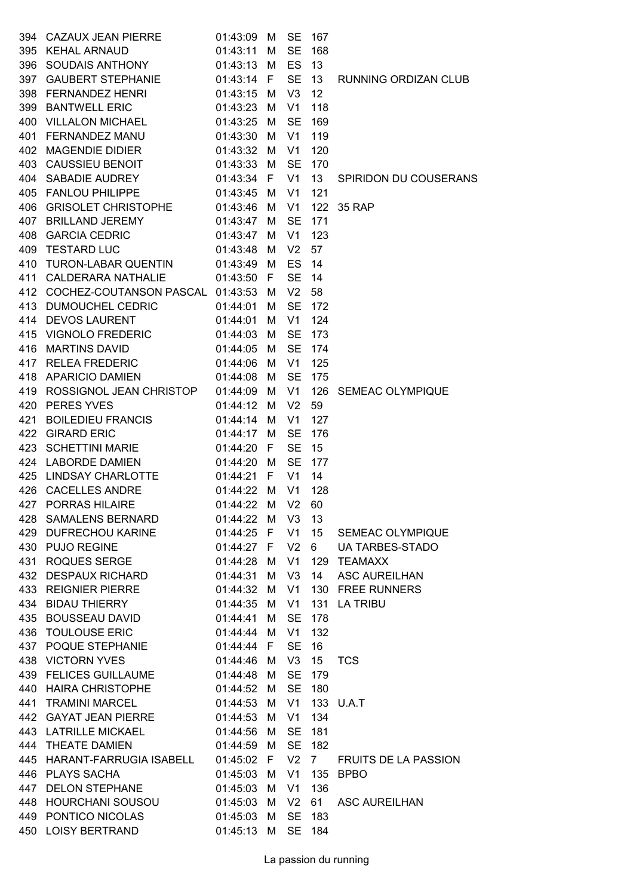|     | 394 CAZAUX JEAN PIERRE               | 01:43:09   | М   | <b>SE</b>      | 167             |                             |
|-----|--------------------------------------|------------|-----|----------------|-----------------|-----------------------------|
|     | 395 KEHAL ARNAUD                     | 01:43:11   | M   | <b>SE</b>      | 168             |                             |
|     | 396 SOUDAIS ANTHONY                  | 01:43:13   | M   | ES             | 13              |                             |
|     | 397 GAUBERT STEPHANIE                | 01:43:14 F |     | <b>SE</b>      | 13              | <b>RUNNING ORDIZAN CLUB</b> |
|     | 398 FERNANDEZ HENRI                  | 01:43:15   | M   | V3             | 12              |                             |
|     | 399 BANTWELL ERIC                    | 01:43:23   | M   | V <sub>1</sub> | 118             |                             |
|     | 400 VILLALON MICHAEL                 | 01:43:25   | M   | <b>SE</b>      | 169             |                             |
|     | 401 FERNANDEZ MANU                   | 01:43:30   | M   | V <sub>1</sub> | 119             |                             |
|     | 402 MAGENDIE DIDIER                  | 01:43:32   | M   | V <sub>1</sub> | 120             |                             |
|     | 403 CAUSSIEU BENOIT                  | 01:43:33   | M   | <b>SE</b>      | 170             |                             |
|     | 404 SABADIE AUDREY                   | 01:43:34 F |     | V1             | 13 <sup>°</sup> | SPIRIDON DU COUSERANS       |
|     | 405 FANLOU PHILIPPE                  | 01:43:45   | м   | V <sub>1</sub> | 121             |                             |
|     | 406 GRISOLET CHRISTOPHE 01:43:46     |            | М   | V1             | 122             | 35 RAP                      |
|     | 407 BRILLAND JEREMY                  | 01:43:47 M |     | <b>SE</b>      | 171             |                             |
|     | 408 GARCIA CEDRIC                    | 01:43:47   | M   | V <sub>1</sub> | 123             |                             |
|     | 409 TESTARD LUC                      | 01:43:48   | M   | V <sub>2</sub> | 57              |                             |
|     | 410 TURON-LABAR QUENTIN              | 01:43:49 M |     | <b>ES</b>      | 14              |                             |
|     | 411 CALDERARA NATHALIE               | 01:43:50   | - F | <b>SE</b>      | 14              |                             |
|     | 412 COCHEZ-COUTANSON PASCAL 01:43:53 |            | M   | V <sub>2</sub> | 58              |                             |
|     | 413 DUMOUCHEL CEDRIC                 | 01:44:01   | M   | <b>SE</b>      | 172             |                             |
|     | 414 DEVOS LAURENT                    | 01:44:01   | м   | V <sub>1</sub> | 124             |                             |
|     | 415 VIGNOLO FREDERIC                 | 01:44:03   | М   | <b>SE</b>      | 173             |                             |
|     | 416 MARTINS DAVID                    | 01:44:05 M |     | <b>SE</b>      | 174             |                             |
|     | 417 RELEA FREDERIC                   | 01:44:06   | M   | V1             | 125             |                             |
|     | 418 APARICIO DAMIEN                  | 01:44:08   | M   | <b>SE</b>      | 175             |                             |
|     | 419 ROSSIGNOL JEAN CHRISTOP          | 01:44:09   | M   | V1             | 126             | <b>SEMEAC OLYMPIQUE</b>     |
|     | 420 PERES YVES                       | 01:44:12   | M   | V <sub>2</sub> | 59              |                             |
| 421 | <b>BOILEDIEU FRANCIS</b>             | 01:44:14   | M   | V1             | 127             |                             |
|     | 422 GIRARD ERIC                      | 01:44:17   | м   | <b>SE</b>      | 176             |                             |
|     | 423 SCHETTINI MARIE                  | 01:44:20   | F.  | <b>SE</b>      | 15              |                             |
|     | 424 LABORDE DAMIEN                   | 01:44:20   | M   | <b>SE</b>      | 177             |                             |
|     | 425 LINDSAY CHARLOTTE                | 01:44:21   | -F. | V <sub>1</sub> | 14              |                             |
|     | 426 CACELLES ANDRE                   | 01:44:22 M |     | V <sub>1</sub> | 128             |                             |
| 427 | PORRAS HILAIRE                       | 01:44:22 M |     | V <sub>2</sub> | 60              |                             |
|     | 428 SAMALENS BERNARD                 | 01:44:22 M |     | V3             | 13              |                             |
|     | 429 DUFRECHOU KARINE                 | 01:44:25 F |     | V1             | 15              | SEMEAC OLYMPIQUE            |
|     | 430 PUJO REGINE                      | 01:44:27 F |     | V <sub>2</sub> | $6\degree$      | <b>UA TARBES-STADO</b>      |
|     | 431 ROQUES SERGE                     | 01:44:28 M |     | V1             | 129             | <b>TEAMAXX</b>              |
|     | 432 DESPAUX RICHARD                  | 01:44:31   | M   | V3             | 14              | <b>ASC AUREILHAN</b>        |
|     | 433 REIGNIER PIERRE                  | 01:44:32 M |     | V1             |                 | 130 FREE RUNNERS            |
|     | 434 BIDAU THIERRY                    | 01:44:35 M |     | V1             | 131             | <b>LA TRIBU</b>             |
|     | 435 BOUSSEAU DAVID                   | 01:44:41   | M   | <b>SE</b>      | 178             |                             |
|     | 436 TOULOUSE ERIC                    | 01:44:44 M |     | V <sub>1</sub> | 132             |                             |
|     | 437 POQUE STEPHANIE                  | 01:44:44 F |     | <b>SE</b>      | 16              |                             |
|     | 438 VICTORN YVES                     | 01:44:46 M |     | V3             | 15              | <b>TCS</b>                  |
|     | 439 FELICES GUILLAUME                | 01:44:48 M |     | <b>SE</b>      | 179             |                             |
|     | 440 HAIRA CHRISTOPHE                 | 01:44:52 M |     | <b>SE</b>      | 180             |                             |
|     | 441 TRAMINI MARCEL                   | 01:44:53 M |     | V1             |                 | 133 U.A.T                   |
|     | 442 GAYAT JEAN PIERRE                | 01:44:53 M |     | V1             | 134             |                             |
|     | 443 LATRILLE MICKAEL                 | 01:44:56 M |     | <b>SE</b>      | 181             |                             |
|     | 444 THEATE DAMIEN                    | 01:44:59 M |     | <b>SE</b>      | 182             |                             |
|     | 445 HARANT-FARRUGIA ISABELL          | 01:45:02 F |     | V <sub>2</sub> | $7^{\circ}$     | <b>FRUITS DE LA PASSION</b> |
|     | 446 PLAYS SACHA                      | 01:45:03 M |     | V1             | 135             | <b>BPBO</b>                 |
|     | 447 DELON STEPHANE                   | 01:45:03 M |     | V1             | 136             |                             |
|     | 448 HOURCHANI SOUSOU                 | 01:45:03   | - M | V <sub>2</sub> | 61              | <b>ASC AUREILHAN</b>        |
|     | 449 PONTICO NICOLAS                  | 01:45:03   | M   | <b>SE</b>      | 183             |                             |
|     | 450 LOISY BERTRAND                   | 01:45:13   | M   | <b>SE</b>      | 184             |                             |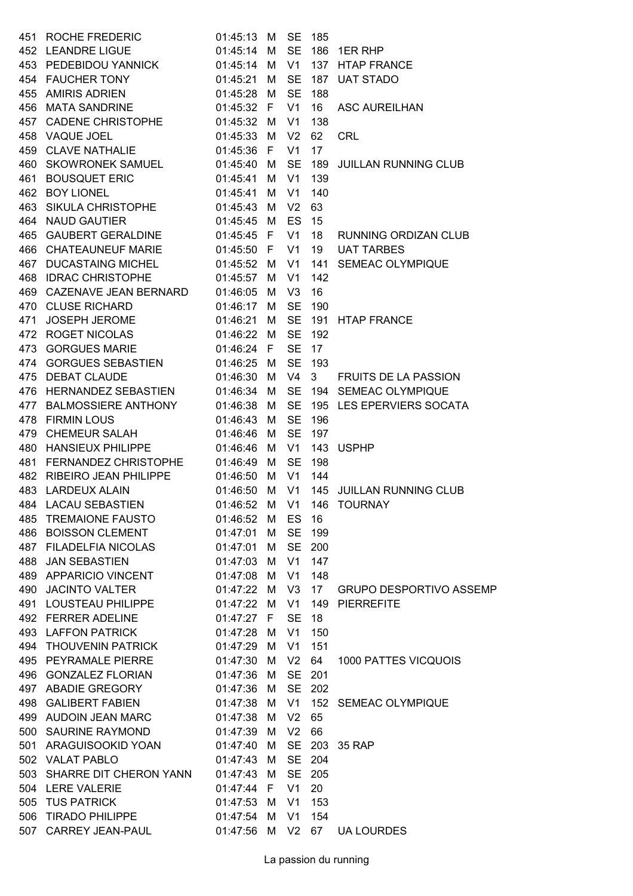| 451 | <b>ROCHE FREDERIC</b>           | 01:45:13 | м  | <b>SE</b>      | 185            |                                |
|-----|---------------------------------|----------|----|----------------|----------------|--------------------------------|
|     | 452 LEANDRE LIGUE               | 01:45:14 | M  | <b>SE</b>      | 186            | 1ER RHP                        |
|     | 453 PEDEBIDOU YANNICK 01:45:14  |          | М  | V <sub>1</sub> |                | 137 HTAP FRANCE                |
|     | 454 FAUCHER TONY                | 01:45:21 | М  | <b>SE</b>      |                | 187 UAT STADO                  |
|     | 455 AMIRIS ADRIEN               | 01:45:28 | М  | <b>SE</b>      | 188            |                                |
|     | 456 MATA SANDRINE               | 01:45:32 | F  | V <sub>1</sub> | 16             | <b>ASC AUREILHAN</b>           |
|     | 457 CADENE CHRISTOPHE 01:45:32  |          | м  | V <sub>1</sub> | 138            |                                |
|     | 458 VAQUE JOEL                  | 01:45:33 | м  | V <sub>2</sub> | 62             | <b>CRL</b>                     |
|     | 459 CLAVE NATHALIE              | 01:45:36 | F. | V <sub>1</sub> | 17             |                                |
|     | 460 SKOWRONEK SAMUEL            | 01:45:40 | М  | <b>SE</b>      | 189            | <b>JUILLAN RUNNING CLUB</b>    |
| 461 | <b>BOUSQUET ERIC</b>            | 01:45:41 | м  | V <sub>1</sub> | 139            |                                |
| 462 | <b>BOY LIONEL</b>               | 01:45:41 | м  | V <sub>1</sub> | 140            |                                |
| 463 | SIKULA CHRISTOPHE 01:45:43      |          | М  | V <sub>2</sub> | 63             |                                |
|     | 464 NAUD GAUTIER                | 01:45:45 | М  | ES             | 15             |                                |
|     | 465 GAUBERT GERALDINE           | 01:45:45 | F  | V <sub>1</sub> | 18             | RUNNING ORDIZAN CLUB           |
|     | 466 CHATEAUNEUF MARIE           | 01:45:50 | F  | V <sub>1</sub> | 19             | <b>UAT TARBES</b>              |
|     | 467 DUCASTAING MICHEL           | 01:45:52 | М  | V <sub>1</sub> | 141            | <b>SEMEAC OLYMPIQUE</b>        |
|     | 468 IDRAC CHRISTOPHE            | 01:45:57 | M  | V1             | 142            |                                |
|     | 469 CAZENAVE JEAN BERNARD       | 01:46:05 | М  | V <sub>3</sub> | 16             |                                |
| 470 | <b>CLUSE RICHARD</b>            | 01:46:17 | М  | <b>SE</b>      | 190            |                                |
| 471 | JOSEPH JEROME                   | 01:46:21 | м  | <b>SE</b>      | 191            | <b>HTAP FRANCE</b>             |
| 472 | ROGET NICOLAS 01:46:22          |          | М  | <b>SE</b>      | 192            |                                |
| 473 | <b>GORGUES MARIE</b>            | 01:46:24 | F. | <b>SE</b>      | 17             |                                |
|     | 474 GORGUES SEBASTIEN 01:46:25  |          | М  | <b>SE</b>      | 193            |                                |
| 475 | <b>DEBAT CLAUDE</b><br>01:46:30 |          | M  | V4             | 3 <sup>7</sup> | <b>FRUITS DE LA PASSION</b>    |
|     | 476 HERNANDEZ SEBASTIEN         | 01:46:34 | М  | <b>SE</b>      |                | 194 SEMEAC OLYMPIQUE           |
|     | 477 BALMOSSIERE ANTHONY         | 01:46:38 | M  | <b>SE</b>      |                | 195 LES EPERVIERS SOCATA       |
| 478 | <b>FIRMIN LOUS</b>              | 01:46:43 | М  | <b>SE</b>      | 196            |                                |
| 479 | <b>CHEMEUR SALAH</b>            | 01:46:46 | м  | <b>SE</b>      | 197            |                                |
| 480 | HANSIEUX PHILIPPE               | 01:46:46 | м  | V <sub>1</sub> | 143            | <b>USPHP</b>                   |
| 481 | FERNANDEZ CHRISTOPHE            | 01:46:49 | M  | <b>SE</b>      | 198            |                                |
| 482 | RIBEIRO JEAN PHILIPPE           | 01:46:50 | М  | V1             | 144            |                                |
| 483 | <b>LARDEUX ALAIN</b>            | 01:46:50 | М  | V1             |                | 145 JUILLAN RUNNING CLUB       |
|     |                                 |          |    |                |                |                                |
| 485 | <b>TREMAIONE FAUSTO</b>         | 01:46:52 | М  | ES             | - 16           |                                |
|     | 486 BOISSON CLEMENT             | 01:47:01 | M  | <b>SE</b>      | 199            |                                |
|     | 487 FILADELFIA NICOLAS          | 01:47:01 | M  | <b>SE</b>      | 200            |                                |
| 488 | <b>JAN SEBASTIEN</b>            | 01:47:03 | м  | V <sub>1</sub> | 147            |                                |
|     | 489 APPARICIO VINCENT           | 01:47:08 | м  | V <sub>1</sub> | 148            |                                |
|     | 490 JACINTO VALTER              | 01:47:22 | M  | V <sub>3</sub> | 17             | <b>GRUPO DESPORTIVO ASSEMP</b> |
| 491 | LOUSTEAU PHILIPPE               | 01:47:22 | М  | V <sub>1</sub> | 149            | <b>PIERREFITE</b>              |
|     | 492 FERRER ADELINE              | 01:47:27 | F. | <b>SE</b>      | 18             |                                |
| 493 | <b>LAFFON PATRICK</b>           | 01:47:28 | м  | V <sub>1</sub> | 150            |                                |
|     | 494 THOUVENIN PATRICK           | 01:47:29 | M  | V <sub>1</sub> | 151            |                                |
|     | 495 PEYRAMALE PIERRE            | 01:47:30 | M  | V <sub>2</sub> | 64             | 1000 PATTES VICQUOIS           |
|     | 496 GONZALEZ FLORIAN            | 01:47:36 | M  | <b>SE</b>      | 201            |                                |
|     | 497 ABADIE GREGORY              | 01:47:36 | м  | <b>SE</b>      | 202            |                                |
|     | 498 GALIBERT FABIEN             | 01:47:38 | м  | V <sub>1</sub> | 152            | <b>SEMEAC OLYMPIQUE</b>        |
|     | 499 AUDOIN JEAN MARC            | 01:47:38 | M  | V <sub>2</sub> | 65             |                                |
|     | 500 SAURINE RAYMOND             | 01:47:39 | М  | V <sub>2</sub> | 66             |                                |
| 501 | ARAGUISOOKID YOAN               | 01:47:40 | м  | <b>SE</b>      | 203            | 35 RAP                         |
|     | 502 VALAT PABLO                 | 01:47:43 | м  | <b>SE</b>      | 204            |                                |
|     | 503 SHARRE DIT CHERON YANN      | 01:47:43 | M  | <b>SE</b>      | 205            |                                |
|     | 504 LERE VALERIE                | 01:47:44 | F. | V <sub>1</sub> | 20             |                                |
| 505 | <b>TUS PATRICK</b>              | 01:47:53 | M  | V <sub>1</sub> | 153            |                                |
| 506 | <b>TIRADO PHILIPPE</b>          | 01:47:54 | м  | V <sub>1</sub> | 154            |                                |
| 507 | CARREY JEAN-PAUL                | 01:47:56 | M  | V <sub>2</sub> | 67             | <b>UA LOURDES</b>              |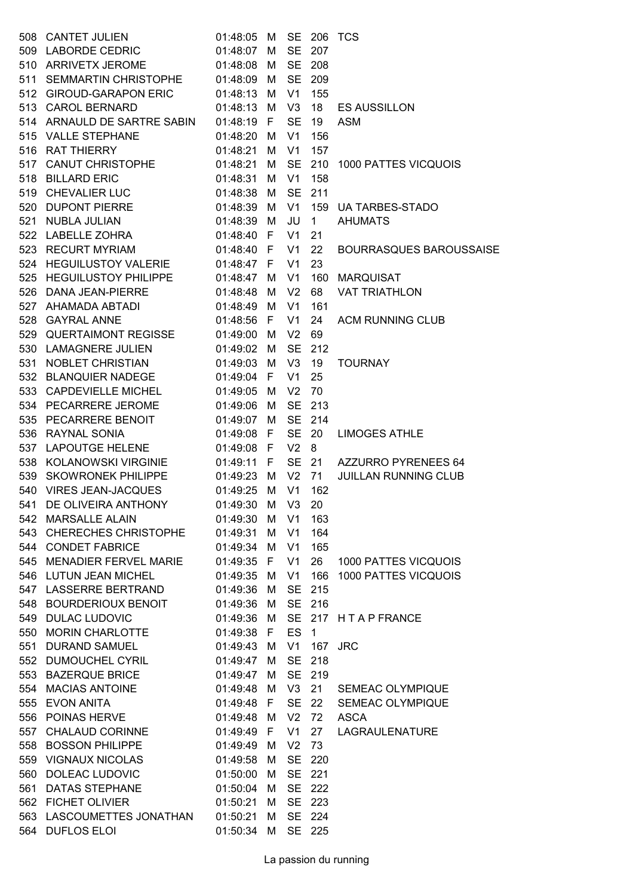|     | 508 CANTET JULIEN                                               | 01:48:05   | M   |                |                   | <b>SE 206 TCS</b>              |
|-----|-----------------------------------------------------------------|------------|-----|----------------|-------------------|--------------------------------|
|     | 509 LABORDE CEDRIC                                              | 01:48:07   | М   | <b>SE</b>      | 207               |                                |
|     | 510 ARRIVETX JEROME 01:48:08                                    |            | М   | <b>SE</b>      | 208               |                                |
|     | 511 SEMMARTIN CHRISTOPHE 01:48:09                               |            | M   | <b>SE</b>      | 209               |                                |
|     | 512 GIROUD-GARAPON ERIC                                         | 01:48:13   | M   | V1             | 155               |                                |
|     | 513 CAROL BERNARD                                               | 01:48:13   | М   | V <sub>3</sub> | 18                | <b>ES AUSSILLON</b>            |
|     | 514 ARNAULD DE SARTRE SABIN                                     | 01:48:19   | F   | <b>SE</b>      | 19                | <b>ASM</b>                     |
|     | 515 VALLE STEPHANE                                              | 01:48:20   | М   | V <sub>1</sub> | 156               |                                |
|     | 516 RAT THIERRY                                                 | 01:48:21   | М   | V1             | 157               |                                |
|     |                                                                 | 01:48:21   | М   | <b>SE</b>      | 210               | 1000 PATTES VICQUOIS           |
|     | 517 CANUT CHRISTOPHE<br>518 BILLARD ERIC                        | 01:48:31   | М   | V <sub>1</sub> | 158               |                                |
|     | 519 CHEVALIER LUC 01:48:38                                      |            | M   | <b>SE</b>      | 211               |                                |
|     | 520 DUPONT PIERRE 01:48:39                                      |            | М   | V1             | 159               | <b>UA TARBES-STADO</b>         |
|     | 521 NUBLA JULIAN 61:48:39 M<br>522 LABELLE ZOHRA 61:48:40 F     |            |     | JU             | 1                 | <b>AHUMATS</b>                 |
|     |                                                                 |            |     | V <sub>1</sub> | 21                |                                |
|     | 523 RECURT MYRIAM 01:48:40 F                                    |            |     | V <sub>1</sub> | 22                | <b>BOURRASQUES BAROUSSAISE</b> |
|     | 524 HEGUILUSTOY VALERIE 01:48:47 F                              |            |     | V <sub>1</sub> | 23                |                                |
|     | 525 HEGUILUSTOY PHILIPPE 01:48:47                               |            | M   | V <sub>1</sub> | 160               | <b>MARQUISAT</b>               |
|     | 526 DANA JEAN-PIERRE                                            | 01:48:48   | М   | V <sub>2</sub> | 68                | <b>VAT TRIATHLON</b>           |
|     | 527 AHAMADA ABTADI                                              | 01:48:49   | М   | V <sub>1</sub> | 161               |                                |
|     |                                                                 |            |     | V <sub>1</sub> |                   |                                |
|     | 528 GAYRAL ANNE<br>01:48:56<br>529 QUERTAIMONT REGISSE 01:49:00 |            | F   |                | 24                | <b>ACM RUNNING CLUB</b>        |
|     |                                                                 |            | М   | V <sub>2</sub> | 69                |                                |
|     | 530 LAMAGNERE JULIEN                                            | 01:49:02 M |     | <b>SE</b>      | 212               |                                |
|     | 531 NOBLET CHRISTIAN                                            | 01:49:03   | M   | V3             | 19                | <b>TOURNAY</b>                 |
|     | 532 BLANQUIER NADEGE                                            | 01:49:04 F |     | V <sub>1</sub> | 25                |                                |
|     | 533 CAPDEVIELLE MICHEL                                          | 01:49:05   | M   | V <sub>2</sub> | 70                |                                |
|     | 534 PECARRERE JEROME                                            | 01:49:06   | М   | <b>SE</b>      | 213               |                                |
|     | 535 PECARRERE BENOIT                                            | 01:49:07   | M   | <b>SE</b>      | 214               |                                |
|     | 536 RAYNAL SONIA                                                | 01:49:08   | - F | <b>SE</b>      | 20                | <b>LIMOGES ATHLE</b>           |
|     | 537 LAPOUTGE HELENE                                             | 01:49:08 F |     | V <sub>2</sub> | 8                 |                                |
|     | 538 KOLANOWSKI VIRGINIE 01:49:11 F                              |            |     | <b>SE</b>      | 21                | AZZURRO PYRENEES 64            |
|     | 539 SKOWRONEK PHILIPPE                                          | 01:49:23   | M   | V <sub>2</sub> | 71                | <b>JUILLAN RUNNING CLUB</b>    |
|     | 540 VIRES JEAN-JACQUES                                          | 01:49:25   | M   | V1             | 162               |                                |
|     | 541 DE OLIVEIRA ANTHONY                                         | 01:49:30   | M   | V3             | 20                |                                |
|     | 542 MARSALLE ALAIN                                              | 01:49:30   |     | M V1           | 163               |                                |
|     | 543 CHERECHES CHRISTOPHE                                        | 01:49:31   | М   | V1             | 164               |                                |
|     | 544 CONDET FABRICE                                              | 01:49:34 M |     | V <sub>1</sub> | 165               |                                |
|     | 545 MENADIER FERVEL MARIE                                       | 01:49:35 F |     | V <sub>1</sub> | 26                | <b>1000 PATTES VICQUOIS</b>    |
|     | 546 LUTUN JEAN MICHEL                                           | 01:49:35   | M   | V <sub>1</sub> | 166               | 1000 PATTES VICQUOIS           |
|     | 547 LASSERRE BERTRAND                                           | 01:49:36   | М   | <b>SE</b>      | 215               |                                |
|     | 548 BOURDERIOUX BENOIT                                          | 01:49:36   | М   | <b>SE</b>      | 216               |                                |
|     | 549 DULAC LUDOVIC                                               | 01:49:36   | - M | <b>SE</b>      |                   | 217 HTAPFRANCE                 |
|     | 550 MORIN CHARLOTTE                                             | 01:49:38   | F   | <b>ES</b>      | $\mathbf{1}$      |                                |
| 551 | <b>DURAND SAMUEL</b>                                            | 01:49:43   | М   | V <sub>1</sub> | 167               | <b>JRC</b>                     |
|     | 552 DUMOUCHEL CYRIL                                             | 01:49:47   | М   | <b>SE</b>      | 218               |                                |
|     | 553 BAZERQUE BRICE                                              | 01:49:47   | M   | <b>SE</b>      | 219               |                                |
|     | 554 MACIAS ANTOINE                                              | 01:49:48   | M   | V <sub>3</sub> | 21                | <b>SEMEAC OLYMPIQUE</b>        |
|     | 555 EVON ANITA                                                  | 01:49:48   | F   | <b>SE</b>      | $22 \overline{ }$ | <b>SEMEAC OLYMPIQUE</b>        |
|     | 556 POINAS HERVE                                                | 01:49:48   | М   | V <sub>2</sub> | 72                | <b>ASCA</b>                    |
|     | 557 CHALAUD CORINNE                                             | 01:49:49   | F   | V1             | 27                | LAGRAULENATURE                 |
|     | 558 BOSSON PHILIPPE                                             | 01:49:49   | M   | V <sub>2</sub> | 73                |                                |
|     | 559 VIGNAUX NICOLAS                                             | 01:49:58   | М   | <b>SE</b>      | 220               |                                |
|     | 560 DOLEAC LUDOVIC                                              | 01:50:00   | М   | <b>SE</b>      | 221               |                                |
| 561 | <b>DATAS STEPHANE</b>                                           | 01:50:04   | M   | <b>SE</b>      | 222               |                                |
|     | 562 FICHET OLIVIER                                              | 01:50:21   | M   | <b>SE</b>      | 223               |                                |
|     | 563 LASCOUMETTES JONATHAN                                       | 01:50:21   | м   | <b>SE</b>      | 224               |                                |
| 564 | <b>DUFLOS ELOI</b>                                              | 01:50:34   | M   | <b>SE</b>      | 225               |                                |
|     |                                                                 |            |     |                |                   |                                |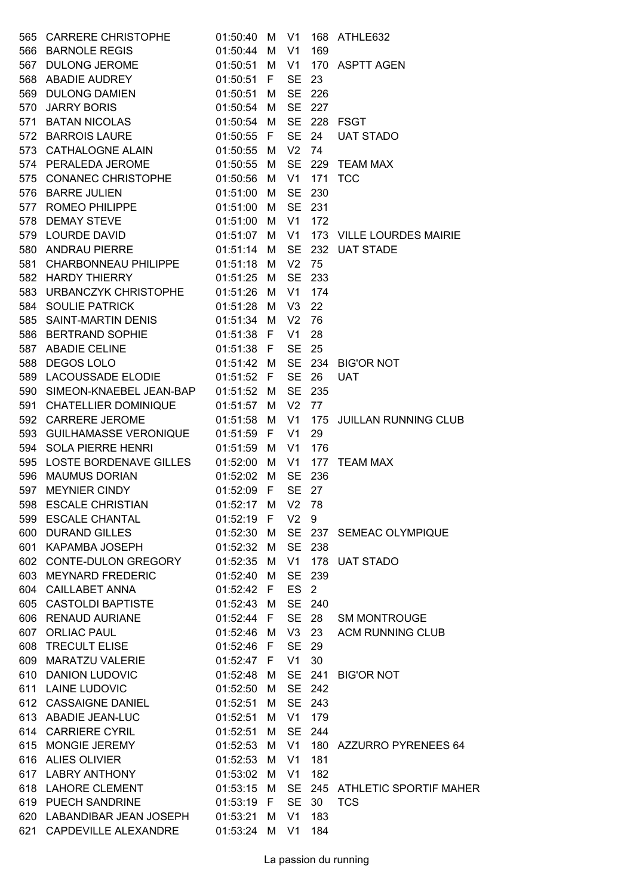| 565 CARRERE CHRISTOPHE                                                                      | 01:50:40 M      |     |                 |        | V1 168 ATHLE632                    |
|---------------------------------------------------------------------------------------------|-----------------|-----|-----------------|--------|------------------------------------|
| 566 BARNOLE REGIS                                                                           | 01:50:44 M      |     | V <sub>1</sub>  | 169    |                                    |
| 567 DULONG JEROME                                                                           | 01:50:51        | M   | V1              |        | 170 ASPTT AGEN                     |
| 568 ABADIE AUDREY                                                                           | 01:50:51 F      |     | SE 23           |        |                                    |
| 568 ABADIE AUDREY<br>569 DULONG DAMIEN                                                      | 01:50:51 M      |     |                 | SE 226 |                                    |
|                                                                                             | 01:50:54        | M   | <b>SE</b>       | 227    |                                    |
| 570 JARRY BORIS<br>571 BATAN NICOLAS                                                        | 01:50:54 M      |     |                 |        | SE 228 FSGT                        |
| 572 BARROIS LAURE                                                                           | 01:50:55 F      |     |                 | SE 24  | <b>UAT STADO</b>                   |
| 573 CATHALOGNE ALAIN                                                                        | 01:50:55 M      |     | V <sub>2</sub>  | 74     |                                    |
| 574 PERALEDA JEROME                                                                         | 01:50:55        | - M |                 |        | SE 229 TEAM MAX                    |
| 575 CONANEC CHRISTOPHE 01:50:56 M                                                           |                 |     | V <sub>1</sub>  |        | 171 TCC                            |
| 01:51:00 M<br>576 BARRE JULIEN                                                              |                 |     |                 | SE 230 |                                    |
| 577 ROMEO PHILIPPE 01:51:00 M                                                               |                 |     | <b>SE</b>       | 231    |                                    |
|                                                                                             |                 |     | V1              | 172    |                                    |
| 578 DEMAY STEVE 01:51:00 M<br>579 LOURDE DAVID 01:51:07 M                                   |                 |     | V1              |        | 173 VILLE LOURDES MAIRIE           |
| 580 ANDRAU PIERRE    01:51:14 M                                                             |                 |     | <b>SE</b>       |        | 232 UAT STADE                      |
|                                                                                             |                 |     | V <sub>2</sub>  | 75     |                                    |
| 581 CHARBONNEAU PHILIPPE 01:51:18 M<br>582 HARDY THIERRY 01:51:25 M                         |                 |     | <b>SE</b>       | 233    |                                    |
|                                                                                             |                 |     |                 |        |                                    |
| 583 URBANCZYK CHRISTOPHE 01:51:26 M                                                         |                 |     |                 | V1 174 |                                    |
| $01:51:28$ M<br>584 SOULIE PATRICK                                                          |                 |     | V <sub>3</sub>  | 22     |                                    |
| 585 SAINT-MARTIN DENIS 01:51:34 M                                                           |                 |     | V <sub>2</sub>  | 76     |                                    |
| 586 BERTRAND SOPHIE 01:51:38 F<br>587 ABADIE CELINE 01:51:38 F<br>588 DEGOS LOLO 01:51:42 M | 01:51:38 F      |     | V1              | 28     |                                    |
|                                                                                             |                 |     | <b>SE</b>       | 25     |                                    |
|                                                                                             |                 |     |                 |        | SE 234 BIG'OR NOT                  |
| 589 LACOUSSADE ELODIE                                                                       | 01:51:52 F      |     | <b>SE</b>       | 26     | <b>UAT</b>                         |
| 590 SIMEON-KNAEBEL JEAN-BAP                                                                 | 01:51:52 M      |     | <b>SE</b>       | 235    |                                    |
| 591 CHATELLIER DOMINIQUE                                                                    | 01:51:57 M      |     | V <sub>2</sub>  | 77     |                                    |
| 592 CARRERE JEROME                                                                          | 01:51:58 M      |     | V <sub>1</sub>  |        | 175 JUILLAN RUNNING CLUB           |
| 593 GUILHAMASSE VERONIQUE 01:51:59 F                                                        |                 |     | V <sub>1</sub>  | 29     |                                    |
| 594 SOLA PIERRE HENRI                                                                       | 01:51:59 M      |     | V <sub>1</sub>  | 176    |                                    |
| 595 LOSTE BORDENAVE GILLES   01:52:00 M                                                     |                 |     | V1              |        | 177 TEAM MAX                       |
| 596 MAUMUS DORIAN                                                                           | 01:52:02 M      |     | <b>SE</b>       | 236    |                                    |
| 597 MEYNIER CINDY 01:52:09 F                                                                |                 |     | <b>SE</b>       | 27     |                                    |
| 598 ESCALE CHRISTIAN 01:52:17 M V2 78                                                       |                 |     |                 |        |                                    |
| 599 ESCALE CHANTAL                                                                          | 01:52:19 F V2 9 |     |                 |        |                                    |
| 600 DURAND GILLES                                                                           |                 |     |                 |        | 01:52:30 M SE 237 SEMEAC OLYMPIQUE |
| 601 KAPAMBA JOSEPH 01:52:32 M                                                               |                 |     |                 | SE 238 |                                    |
| 602 CONTE-DULON GREGORY 01:52:35 M                                                          |                 |     |                 |        | V1 178 UAT STADO                   |
| 603 MEYNARD FREDERIC                                                                        | 01:52:40 M      |     |                 | SE 239 |                                    |
| 604 CAILLABET ANNA                                                                          | 01:52:42 F      |     | ES <sub>2</sub> |        |                                    |
| 605 CASTOLDI BAPTISTE                                                                       | 01:52:43 M      |     |                 | SE 240 |                                    |
| 606 RENAUD AURIANE                                                                          | 01:52:44 F      |     |                 | SE 28  | <b>SM MONTROUGE</b>                |
| 607 ORLIAC PAUL                                                                             |                 |     |                 |        | 01:52:46 M V3 23 ACM RUNNING CLUB  |
| 608 TRECULT ELISE                                                                           | 01:52:46 F      |     | SE 29           |        |                                    |
| 609 MARATZU VALERIE                                                                         | 01:52:47 F V1   |     |                 | 30     |                                    |
| 610 DANION LUDOVIC                                                                          |                 |     |                 |        | 01:52:48 M SE 241 BIG'OR NOT       |
| 611 LAINE LUDOVIC 01:52:50 M                                                                |                 |     |                 | SE 242 |                                    |
| 612 CASSAIGNE DANIEL                                                                        | 01:52:51 M      |     |                 | SE 243 |                                    |
| 613 ABADIE JEAN-LUC                                                                         | 01:52:51 M      |     |                 | V1 179 |                                    |
| 614 CARRIERE CYRIL                                                                          | 01:52:51 M      |     |                 | SE 244 |                                    |
| 615 MONGIE JEREMY                                                                           | 01:52:53 M      |     |                 |        | V1 180 AZZURRO PYRENEES 64         |
| 616 ALIES OLIVIER                                                                           | 01:52:53 M      |     | V1              | 181    |                                    |
| 617 LABRY ANTHONY                                                                           | 01:53:02 M      |     | V1              | 182    |                                    |
| 618 LAHORE CLEMENT                                                                          | 01:53:15 M      |     |                 |        | SE 245 ATHLETIC SPORTIF MAHER      |
| 619 PUECH SANDRINE                                                                          | 01:53:19 F      |     |                 | SE 30  | <b>TCS</b>                         |
| 620 LABANDIBAR JEAN JOSEPH 01:53:21 M                                                       |                 |     | V <sub>1</sub>  | 183    |                                    |
| 621 CAPDEVILLE ALEXANDRE   01:53:24 M V1                                                    |                 |     |                 | 184    |                                    |
|                                                                                             |                 |     |                 |        |                                    |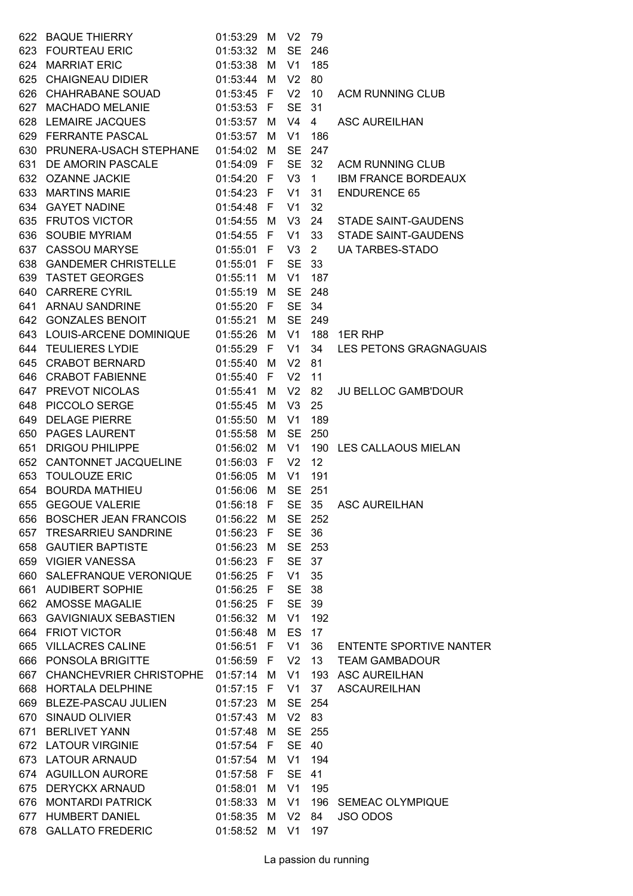|     | 622 BAQUE THIERRY                      | 01:53:29      | M            | V <sub>2</sub> | - 79         |                                |
|-----|----------------------------------------|---------------|--------------|----------------|--------------|--------------------------------|
|     | 623 FOURTEAU ERIC                      | 01:53:32 M    |              | <b>SE</b>      | 246          |                                |
| 624 | <b>MARRIAT ERIC</b>                    | 01:53:38      | M            | V <sub>1</sub> | 185          |                                |
|     | 625 CHAIGNEAU DIDIER                   | 01:53:44      | M            | V <sub>2</sub> | 80           |                                |
|     | 626 CHAHRABANE SOUAD                   | 01:53:45 F    |              | V <sub>2</sub> | 10           | <b>ACM RUNNING CLUB</b>        |
|     | 627 MACHADO MELANIE                    | 01:53:53 F    |              | <b>SE</b>      | 31           |                                |
|     | 628 LEMAIRE JACQUES                    | 01:53:57      | М            | V <sub>4</sub> | 4            | <b>ASC AUREILHAN</b>           |
|     | 629 FERRANTE PASCAL                    | 01:53:57      | M            | V <sub>1</sub> | 186          |                                |
|     | 630 PRUNERA-USACH STEPHANE             | 01:54:02      | M            | <b>SE</b>      | 247          |                                |
|     | 631 DE AMORIN PASCALE                  | 01:54:09 F    |              | <b>SE</b>      | 32           | <b>ACM RUNNING CLUB</b>        |
|     | 632 OZANNE JACKIE                      | 01:54:20 F    |              | V3             | $\mathbf{1}$ | <b>IBM FRANCE BORDEAUX</b>     |
|     | 633 MARTINS MARIE                      | 01:54:23      | $\mathsf{F}$ | V <sub>1</sub> | 31           | <b>ENDURENCE 65</b>            |
|     | 634 GAYET NADINE                       | 01:54:48 F    |              | V <sub>1</sub> | 32           |                                |
|     | 635 FRUTOS VICTOR                      | 01:54:55      | M            | V <sub>3</sub> | 24           | <b>STADE SAINT-GAUDENS</b>     |
|     | 636 SOUBIE MYRIAM                      | 01:54:55      | - F          | V <sub>1</sub> | 33           | <b>STADE SAINT-GAUDENS</b>     |
|     | 637 CASSOU MARYSE                      | 01:55:01      | - F          | V <sub>3</sub> | $2^{\circ}$  | <b>UA TARBES-STADO</b>         |
|     | 638 GANDEMER CHRISTELLE                | 01:55:01      | F.           | <b>SE</b>      | 33           |                                |
|     | 639 TASTET GEORGES                     | 01:55:11      | М            | V <sub>1</sub> | 187          |                                |
|     | 640 CARRERE CYRIL                      | 01:55:19 M    |              | <b>SE</b>      | 248          |                                |
|     | 641 ARNAU SANDRINE                     | 01:55:20 F    |              | SE 34          |              |                                |
|     | 642 GONZALES BENOIT                    | 01:55:21      | M            | <b>SE</b>      | 249          |                                |
|     | 643 LOUIS-ARCENE DOMINIQUE             | 01:55:26      | M            | V <sub>1</sub> |              | 188 1ER RHP                    |
|     | 644 TEULIERES LYDIE                    | 01:55:29 F    |              | V <sub>1</sub> | 34           | LES PETONS GRAGNAGUAIS         |
|     | 645 CRABOT BERNARD                     | 01:55:40      | M            | V <sub>2</sub> | 81           |                                |
|     | 646 CRABOT FABIENNE                    | 01:55:40      | F.           | V <sub>2</sub> | 11           |                                |
|     | 647 PREVOT NICOLAS                     | 01:55:41      | M            | V <sub>2</sub> | 82           | <b>JU BELLOC GAMB'DOUR</b>     |
|     | 648 PICCOLO SERGE                      | 01:55:45      | M            | V <sub>3</sub> | 25           |                                |
| 649 | <b>DELAGE PIERRE</b>                   | 01:55:50      | М            | V <sub>1</sub> | 189          |                                |
|     | 650 PAGES LAURENT                      | 01:55:58      | M            | <b>SE</b>      | 250          |                                |
| 651 | <b>DRIGOU PHILIPPE</b>                 | 01:56:02      | M            | V <sub>1</sub> |              | 190 LES CALLAOUS MIELAN        |
|     | 652 CANTONNET JACQUELINE               | 01:56:03      | F.           | V <sub>2</sub> | 12           |                                |
| 653 | <b>TOULOUZE ERIC</b>                   | 01:56:05      | М            | V <sub>1</sub> | 191          |                                |
| 654 | <b>BOURDA MATHIEU</b>                  | 01:56:06 M    |              | <b>SE</b>      | 251          |                                |
| 655 | <b>GEGOUE VALERIE</b>                  | 01:56:18      | F            | SE 35          |              | <b>ASC AUREILHAN</b>           |
|     | 656 BOSCHER JEAN FRANCOIS              | 01:56:22 M    |              |                | SE 252       |                                |
| 657 | <b>TRESARRIEU SANDRINE</b>             | 01:56:23      | F.           | <b>SE</b>      | 36           |                                |
|     | 658 GAUTIER BAPTISTE                   | 01:56:23 M    |              |                | SE 253       |                                |
|     | 659 VIGIER VANESSA                     | 01:56:23 F    |              | SE 37          |              |                                |
|     | 660 SALEFRANQUE VERONIQUE              | 01:56:25 F    |              | V <sub>1</sub> | 35           |                                |
|     | 661 AUDIBERT SOPHIE                    | 01:56:25 F    |              | <b>SE</b>      | - 38         |                                |
|     | 662 AMOSSE MAGALIE                     | 01:56:25 F    |              | <b>SE</b>      | 39           |                                |
|     | 663 GAVIGNIAUX SEBASTIEN               | 01:56:32 M    |              | V <sub>1</sub> | 192          |                                |
|     | 664 FRIOT VICTOR                       | 01:56:48 M    |              | <b>ES</b>      | 17           |                                |
|     | 665 VILLACRES CALINE                   | 01:56:51 F    |              | V1             | 36           | <b>ENTENTE SPORTIVE NANTER</b> |
|     | 666 PONSOLA BRIGITTE                   | 01:56:59 F    |              | V <sub>2</sub> | 13           | <b>TEAM GAMBADOUR</b>          |
|     | 667 CHANCHEVRIER CHRISTOPHE 01:57:14 M |               |              | V <sub>1</sub> |              | 193 ASC AUREILHAN              |
|     | 668 HORTALA DELPHINE                   | 01:57:15 F    |              | V <sub>1</sub> | 37           | <b>ASCAUREILHAN</b>            |
|     | 669 BLEZE-PASCAU JULIEN                | 01:57:23      | М            | <b>SE</b>      | 254          |                                |
|     | 670 SINAUD OLIVIER                     | 01:57:43      | М            | V <sub>2</sub> | 83           |                                |
|     | 671 BERLIVET YANN                      | 01:57:48      | M            | <b>SE</b>      | 255          |                                |
|     | 672 LATOUR VIRGINIE                    | 01:57:54 F    |              | SE 40          |              |                                |
|     | 673 LATOUR ARNAUD                      | 01:57:54 M    |              | V <sub>1</sub> | 194          |                                |
|     | 674 AGUILLON AURORE                    | 01:57:58 F    |              | <b>SE</b>      | 41           |                                |
|     | 675 DERYCKX ARNAUD                     | 01:58:01      | M            | V <sub>1</sub> | 195          |                                |
|     | 676 MONTARDI PATRICK                   | 01:58:33 M    |              | V <sub>1</sub> |              | 196 SEMEAC OLYMPIQUE           |
|     | 677 HUMBERT DANIEL                     | 01:58:35 M    |              | V <sub>2</sub> | 84           | <b>JSO ODOS</b>                |
|     | 678 GALLATO FREDERIC                   | 01:58:52 M V1 |              |                | 197          |                                |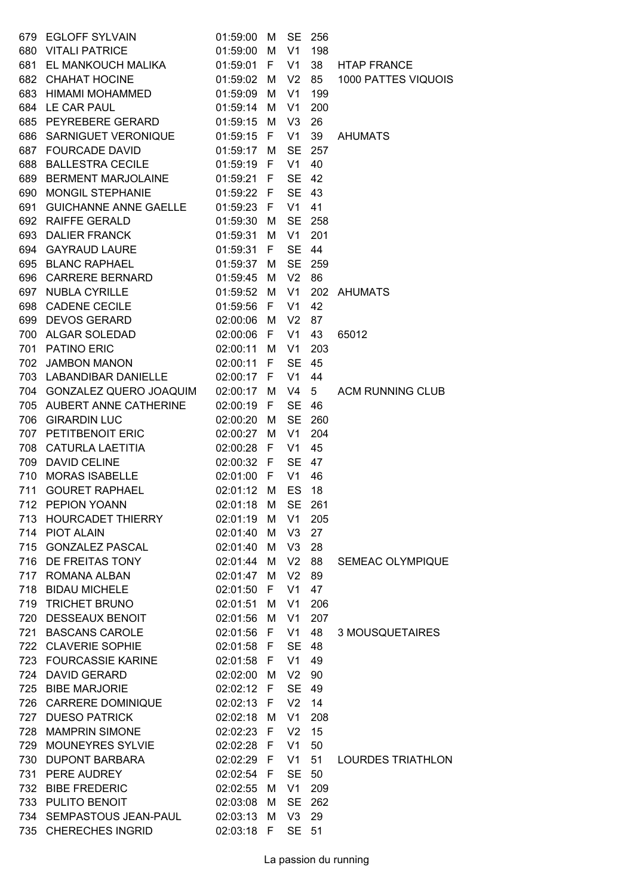| 679 | EGLOFF SYLVAIN                      | 01:59:00               | М        | <b>SE</b>      | 256            |                         |
|-----|-------------------------------------|------------------------|----------|----------------|----------------|-------------------------|
| 680 | <b>VITALI PATRICE</b>               | 01:59:00               | M        | V <sub>1</sub> | 198            |                         |
|     | 681 EL MANKOUCH MALIKA              | 01:59:01               | F        | V <sub>1</sub> | 38             | <b>HTAP FRANCE</b>      |
|     | 682 CHAHAT HOCINE                   | 01:59:02 M             |          | V <sub>2</sub> | 85             | 1000 PATTES VIQUOIS     |
|     | 683 HIMAMI MOHAMMED                 | 01:59:09               | M        | V <sub>1</sub> | 199            |                         |
|     | 684 LE CAR PAUL                     | 01:59:14               | M        | V <sub>1</sub> | 200            |                         |
|     | 685 PEYREBERE GERARD                | 01:59:15               | M        | V <sub>3</sub> | 26             |                         |
|     | 686 SARNIGUET VERONIQUE             | 01:59:15               | F.       | V1             | 39             | <b>AHUMATS</b>          |
|     | 687 FOURCADE DAVID                  | 01:59:17 M             |          | <b>SE</b>      | 257            |                         |
| 688 | BALLESTRA CECILE                    | 01:59:19 F             |          | V1             | 40             |                         |
| 689 | BERMENT MARJOLAINE 01:59:21 F       |                        |          | SE             | 42             |                         |
| 690 | MONGIL STEPHANIE                    | 01:59:22 F             |          | <b>SE</b>      | 43             |                         |
| 691 | GUICHANNE ANNE GAELLE 01:59:23 F    |                        |          | V1             | 41             |                         |
|     | 692 RAIFFE GERALD                   | 01:59:30               | M        | <b>SE</b>      | 258            |                         |
| 693 | DALIER FRANCK <b>Example 20</b>     | 01:59:31               | M        | V1             | 201            |                         |
|     | 694 GAYRAUD LAURE                   | 01:59:31               | F.       | <b>SE</b>      | 44             |                         |
|     | 695 BLANC RAPHAEL                   | 01:59:37               | M        | <b>SE</b>      | 259            |                         |
|     | 696 CARRERE BERNARD                 | 01:59:45               | M        | V <sub>2</sub> | 86             |                         |
| 697 | <b>NUBLA CYRILLE</b>                | 01:59:52               | M        | V <sub>1</sub> | 202            | AHUMATS                 |
| 698 | CADENE CECILE <b>SAMPLE</b>         | 01:59:56               | -F       | V1             | 42             |                         |
|     | 699 DEVOS GERARD                    | 02:00:06               | M        | V <sub>2</sub> | 87             |                         |
|     | 700 ALGAR SOLEDAD                   | 02:00:06 F             |          | V1             | 43             | 65012                   |
|     | 701 PATINO ERIC                     | 02:00:11               | M        | V1             | 203            |                         |
|     | 702 JAMBON MANON                    | 02:00:11 F             |          | <b>SE</b>      | 45             |                         |
|     | 703 LABANDIBAR DANIELLE             | 02:00:17 F             |          | V1             | 44             |                         |
|     | 704 GONZALEZ QUERO JOAQUIM          | 02:00:17 M             |          | V <sub>4</sub> | 5 <sub>5</sub> | <b>ACM RUNNING CLUB</b> |
|     | 705 AUBERT ANNE CATHERINE           | 02:00:19               | -F       | <b>SE</b>      | 46             |                         |
| 706 | <b>GIRARDIN LUC</b>                 | 02:00:20               | M        | <b>SE</b>      | 260            |                         |
| 707 | PETITBENOIT ERIC                    | 02:00:27               |          | V <sub>1</sub> | 204            |                         |
|     | 708 CATURLA LAETITIA                | 02:00:28               | М<br>- F | V1             | 45             |                         |
| 709 | <b>DAVID CELINE</b>                 | 02:00:32 F             |          | <b>SE</b>      | 47             |                         |
| 710 | <b>MORAS ISABELLE</b>               | 02:01:00               | - F      | V1             | 46             |                         |
| 711 | <b>GOURET RAPHAEL</b>               | 02:01:12               | M        | ES             | 18             |                         |
|     | $02:01:18$ M SE<br>712 PEPION YOANN |                        |          |                | 261            |                         |
|     | 713 HOURCADET THIERRY               | 02:01:19 M             |          | V1             | 205            |                         |
|     | 714 PIOT ALAIN                      | 02:01:40               | M        | V3             | 27             |                         |
|     | 715 GONZALEZ PASCAL                 | 02:01:40               | M        | V3             | 28             |                         |
|     | 716 DE FREITAS TONY                 | 02:01:44               | M        | V <sub>2</sub> | 88             | <b>SEMEAC OLYMPIQUE</b> |
|     | 717 ROMANA ALBAN                    | 02:01:47               | M        | V <sub>2</sub> | 89             |                         |
|     | 718 BIDAU MICHELE                   | 02:01:50               | F.       | V1             | 47             |                         |
|     | 719 TRICHET BRUNO                   | 02:01:51               | M        | V1             | 206            |                         |
|     | 720 DESSEAUX BENOIT                 | 02:01:56               | M        | V1             | 207            |                         |
|     | 721 BASCANS CAROLE                  | 02:01:56 F             |          | V1             | 48             | 3 MOUSQUETAIRES         |
|     | 722 CLAVERIE SOPHIE                 | 02:01:58 F             |          | <b>SE</b>      | 48             |                         |
|     | 723 FOURCASSIE KARINE               |                        |          | V1             | 49             |                         |
|     | 724 DAVID GERARD                    | 02:01:58 F<br>02:02:00 |          | V <sub>2</sub> | 90             |                         |
|     | 725 BIBE MARJORIE                   |                        | M        | <b>SE</b>      | 49             |                         |
|     |                                     | 02:02:12 F             |          |                |                |                         |
|     | 726 CARRERE DOMINIQUE               | 02:02:13 F             |          | V <sub>2</sub> | 14             |                         |
|     | 727 DUESO PATRICK                   | 02:02:18               | M        | V1             | 208            |                         |
|     | 728 MAMPRIN SIMONE                  | 02:02:23 F             |          | V <sub>2</sub> | 15             |                         |
| 729 | MOUNEYRES SYLVIE                    | 02:02:28 F             |          | V <sub>1</sub> | 50             |                         |
|     | 730 DUPONT BARBARA                  | 02:02:29 F             |          | V1             | 51             | LOURDES TRIATHLON       |
|     | 731 PERE AUDREY                     | 02:02:54 F             |          | <b>SE</b>      | 50             |                         |
|     | 732 BIBE FREDERIC                   | 02:02:55               | M        | V1             | 209            |                         |
|     | 733 PULITO BENOIT                   | 02:03:08               | M        | <b>SE</b>      | 262            |                         |
|     | 734 SEMPASTOUS JEAN-PAUL 02:03:13   |                        | M        | V3             | 29             |                         |
|     | 735 CHERECHES INGRID                | 02:03:18 F             |          | SE 51          |                |                         |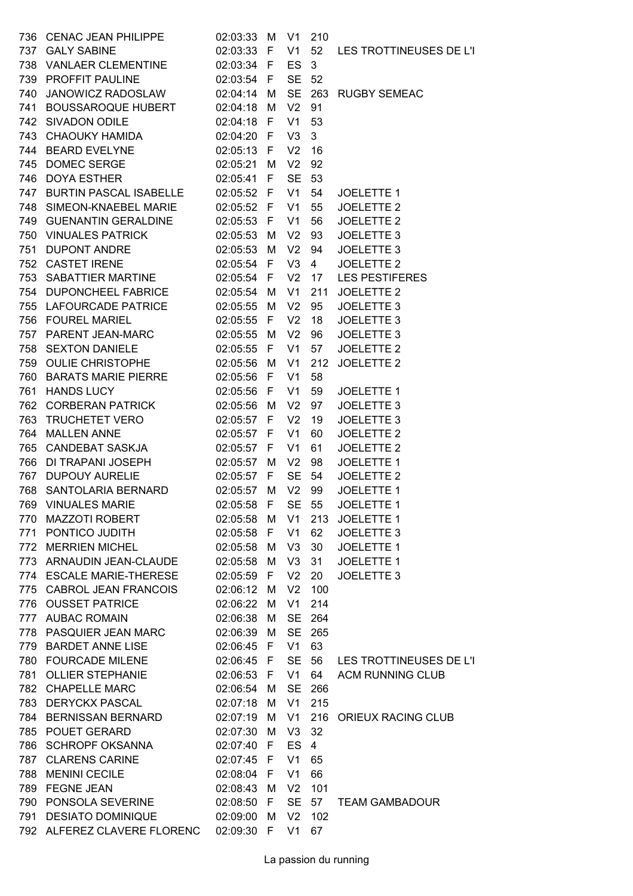| 736 | <b>CENAC JEAN PHILIPPE</b>    | 02:03:33   | M   | V1             | 210            |                         |
|-----|-------------------------------|------------|-----|----------------|----------------|-------------------------|
| 737 | <b>GALY SABINE</b>            | 02:03:33 F |     | V1             | 52             | LES TROTTINEUSES DE L'I |
| 738 | <b>VANLAER CLEMENTINE</b>     | 02:03:34 F |     | ES             | $\mathbf{3}$   |                         |
| 739 | PROFFIT PAULINE               | 02:03:54   | - F | <b>SE</b>      | 52             |                         |
| 740 | JANOWICZ RADOSLAW             | 02:04:14   | M   | <b>SE</b>      | 263            | <b>RUGBY SEMEAC</b>     |
| 741 | <b>BOUSSAROQUE HUBERT</b>     | 02:04:18   | м   | V <sub>2</sub> | 91             |                         |
| 742 | SIVADON ODILE                 | 02:04:18   | -F  | V <sub>1</sub> | 53             |                         |
|     | 743 CHAOUKY HAMIDA            | 02:04:20   | -F  | V <sub>3</sub> | 3              |                         |
|     | 744 BEARD EVELYNE             | 02:05:13   | - F | V <sub>2</sub> | 16             |                         |
| 745 | <b>DOMEC SERGE</b>            | 02:05:21   | M   | V <sub>2</sub> | 92             |                         |
| 746 | <b>DOYA ESTHER</b>            | 02:05:41   | F   | <b>SE</b>      | 53             |                         |
| 747 | <b>BURTIN PASCAL ISABELLE</b> | 02:05:52 F |     | V1             | 54             | JOELETTE 1              |
|     | 748 SIMEON-KNAEBEL MARIE      | 02:05:52 F |     | V <sub>1</sub> | 55             | JOELETTE 2              |
| 749 | <b>GUENANTIN GERALDINE</b>    | 02:05:53   | F   | V <sub>1</sub> | 56             | JOELETTE 2              |
|     | 750 VINUALES PATRICK          | 02:05:53   | м   | V <sub>2</sub> | 93             | JOELETTE 3              |
| 751 | <b>DUPONT ANDRE</b>           | 02:05:53   | M   | V <sub>2</sub> | 94             | JOELETTE 3              |
|     | 752 CASTET IRENE              | 02:05:54   | - F | V3             | $\overline{4}$ | <b>JOELETTE 2</b>       |
| 753 | SABATTIER MARTINE             | 02:05:54 F |     | V <sub>2</sub> | 17             | <b>LES PESTIFERES</b>   |
| 754 | DUPONCHEEL FABRICE            | 02:05:54   | м   | V <sub>1</sub> | 211            | <b>JOELETTE 2</b>       |
| 755 | <b>LAFOURCADE PATRICE</b>     | 02:05:55   | M   | V <sub>2</sub> | 95             | JOELETTE 3              |
|     | 756 FOUREL MARIEL             | 02:05:55 F |     | V <sub>2</sub> | 18             | JOELETTE 3              |
| 757 | PARENT JEAN-MARC              | 02:05:55   | M   | V <sub>2</sub> | 96             | JOELETTE 3              |
| 758 | <b>SEXTON DANIELE</b>         | 02:05:55   | F   | V <sub>1</sub> | 57             | JOELETTE 2              |
| 759 | OULIE CHRISTOPHE              | 02:05:56   | м   | V <sub>1</sub> | 212            | JOELETTE 2              |
| 760 | <b>BARATS MARIE PIERRE</b>    | 02:05:56   | - F | V <sub>1</sub> | 58             |                         |
| 761 | <b>HANDS LUCY</b>             | 02:05:56   | F   | V <sub>1</sub> | 59             | JOELETTE 1              |
| 762 | CORBERAN PATRICK              | 02:05:56   | м   | V <sub>2</sub> | 97             | JOELETTE 3              |
| 763 | <b>TRUCHETET VERO</b>         | 02:05:57   | F   | V <sub>2</sub> | 19             | JOELETTE 3              |
| 764 | <b>MALLEN ANNE</b>            | 02:05:57   | F   | V <sub>1</sub> | 60             | JOELETTE 2              |
|     | 765 CANDEBAT SASKJA           | 02:05:57 F |     | V <sub>1</sub> | 61             | JOELETTE 2              |
| 766 | DI TRAPANI JOSEPH             | 02:05:57   | м   | V <sub>2</sub> | 98             | JOELETTE 1              |
| 767 | <b>DUPOUY AURELIE</b>         | 02:05:57   | F   | <b>SE</b>      | 54             | JOELETTE 2              |
| 768 | SANTOLARIA BERNARD            | 02:05:57   | M   | V <sub>2</sub> | 99             | JOELETTE 1              |
|     | 769 VINUALES MARIE            | 02:05:58 F |     |                |                | SE 55 JOELETTE 1        |
|     | 770 MAZZOTI ROBERT            | 02:05:58 M |     | V1             |                | 213 JOELETTE 1          |
|     | 771 PONTICO JUDITH            | 02:05:58 F |     | V <sub>1</sub> | 62             | JOELETTE 3              |
| 772 | <b>MERRIEN MICHEL</b>         | 02:05:58   | M   | V <sub>3</sub> | 30             | <b>JOELETTE 1</b>       |
|     | 773 ARNAUDIN JEAN-CLAUDE      | 02:05:58   | м   | V <sub>3</sub> | 31             | JOELETTE 1              |
|     | 774 ESCALE MARIE-THERESE      | 02:05:59   | -F  | V <sub>2</sub> | 20             | JOELETTE 3              |
|     | 775 CABROL JEAN FRANCOIS      | 02:06:12   | M   | V <sub>2</sub> | 100            |                         |
|     | 776 OUSSET PATRICE            | 02:06:22   | м   | V <sub>1</sub> | 214            |                         |
|     | 777 AUBAC ROMAIN              | 02:06:38   | м   | <b>SE</b>      | 264            |                         |
|     | 778 PASQUIER JEAN MARC        | 02:06:39   | M   | <b>SE</b>      | 265            |                         |
|     | 779 BARDET ANNE LISE          | 02:06:45 F |     | V <sub>1</sub> | 63             |                         |
|     | 780 FOURCADE MILENE           | 02:06:45   | - F | <b>SE</b>      | 56             | LES TROTTINEUSES DE L'I |
| 781 | <b>OLLIER STEPHANIE</b>       | 02:06:53   | F   | V1             | 64             | <b>ACM RUNNING CLUB</b> |
|     | 782 CHAPELLE MARC             | 02:06:54   | м   | <b>SE</b>      | 266            |                         |
|     | 783 DERYCKX PASCAL            | 02:07:18   | М   | V <sub>1</sub> | 215            |                         |
|     | 784 BERNISSAN BERNARD         | 02:07:19   | M   | V <sub>1</sub> |                | 216 ORIEUX RACING CLUB  |
|     | 785 POUET GERARD              | 02:07:30   | M   | V <sub>3</sub> | 32             |                         |
| 786 | <b>SCHROPF OKSANNA</b>        | 02:07:40 F |     | ES             | 4              |                         |
| 787 | <b>CLARENS CARINE</b>         | 02:07:45 F |     | V <sub>1</sub> | 65             |                         |
|     | 788 MENINI CECILE             | 02:08:04 F |     | V <sub>1</sub> | 66             |                         |
| 789 | <b>FEGNE JEAN</b>             | 02:08:43   | M   | V <sub>2</sub> | 101            |                         |
|     | 790 PONSOLA SEVERINE          | 02:08:50   | F   | <b>SE</b>      | 57             | <b>TEAM GAMBADOUR</b>   |
| 791 | <b>DESIATO DOMINIQUE</b>      | 02:09:00   | м   | V <sub>2</sub> | 102            |                         |
|     | 792 ALFEREZ CLAVERE FLORENC   | 02:09:30 F |     | V1             | 67             |                         |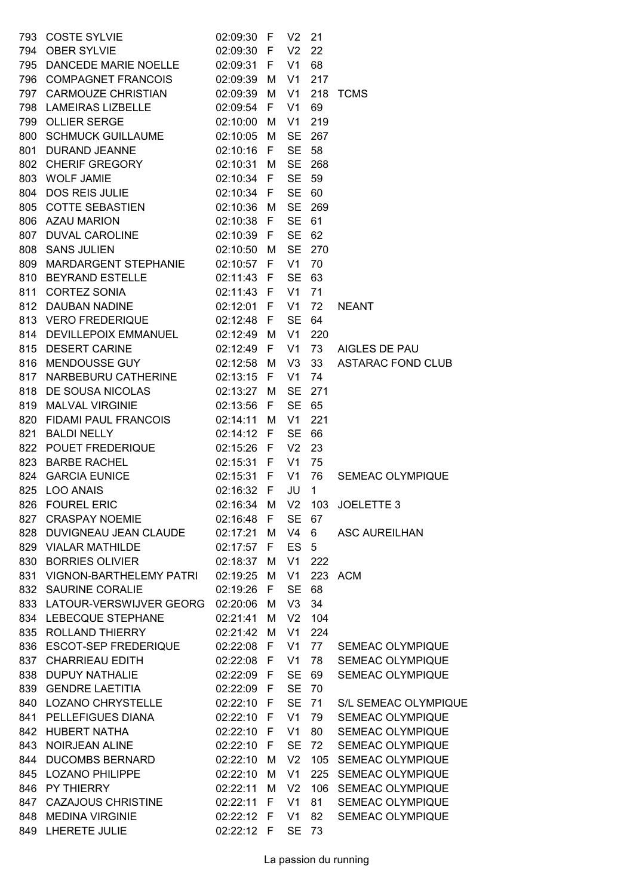| 793        |                                                                                                                               | 02:09:30 F           |   | V <sub>2</sub>       | 21              |                                              |
|------------|-------------------------------------------------------------------------------------------------------------------------------|----------------------|---|----------------------|-----------------|----------------------------------------------|
|            | COSTE SYLVIE<br>OBER SYLVIE<br>794 OBER SYLVIE                                                                                | 02:09:30 F           |   | V <sub>2</sub>       | 22              |                                              |
|            | 795 DANCEDE MARIE NOELLE 02:09:31 F                                                                                           |                      |   | V1                   | 68              |                                              |
|            | 796 COMPAGNET FRANCOIS 02:09:39 M                                                                                             |                      |   | V1                   | 217             |                                              |
|            | 797 CARMOUZE CHRISTIAN 02:09:39 M                                                                                             |                      |   | V <sub>1</sub>       | 218             | TCMS                                         |
|            | 798 LAMEIRAS LIZBELLE                                                                                                         | 02:09:54 F           |   | V <sub>1</sub>       | 69              |                                              |
|            | 799 OLLIER SERGE                                                                                                              | 02:10:00 M           |   | V <sub>1</sub>       | 219             |                                              |
|            | 800 SCHMUCK GUILLAUME 02:10:05 M<br>801 DURAND JEANNE 02:10:05 M                                                              |                      |   | <b>SE</b>            | 267             |                                              |
|            |                                                                                                                               |                      |   | <b>SE</b>            | 58              |                                              |
|            |                                                                                                                               |                      |   | <b>SE</b>            | 268             |                                              |
|            |                                                                                                                               |                      |   | <b>SE</b>            | 59              |                                              |
|            | 802 CHERIF GREGORY 02:10:31 M<br>803 WOLF JAMIE 02:10:34 F<br>804 DOS REIS JULIE 02:10:34 F<br>805 COTTE SEBASTIEN 02:10:36 M |                      |   | SE 60                |                 |                                              |
|            |                                                                                                                               |                      |   | <b>SE</b>            | 269             |                                              |
|            | 806 AZAU MARION                                                                                                               |                      |   | <b>SE</b>            | 61              |                                              |
|            | $02:10:38$ F                                                                                                                  |                      |   |                      | 62              |                                              |
|            | 807 DUVAL CAROLINE 02:10:39 F<br>808 SANS JULIEN 02:10:50 M                                                                   |                      |   | <b>SE</b>            | SE 270          |                                              |
|            | 809 MARDARGENT STEPHANIE 02:10:57 F                                                                                           |                      |   | V1                   |                 |                                              |
|            |                                                                                                                               |                      |   |                      | 70              |                                              |
|            | 810 BEYRAND ESTELLE 02:11:43 F                                                                                                |                      |   | <b>SE</b>            | 63              |                                              |
|            | 811 CORTEZ SONIA 02:11:43 F<br>812 DAUBAN NADINE 02:12:01 F                                                                   |                      |   | V <sub>1</sub>       | 71              |                                              |
|            |                                                                                                                               |                      |   | V <sub>1</sub>       | 72              | <b>NEANT</b>                                 |
|            | 813 VERO FREDERIQUE 02:12:48 F                                                                                                |                      |   | <b>SE</b>            | 64              |                                              |
|            | 814 DEVILLEPOIX EMMANUEL 02:12:49 M                                                                                           |                      |   | V <sub>1</sub>       | 220             |                                              |
|            | 815 DESERT CARINE<br>$02:12:49$ F                                                                                             |                      |   | V <sub>1</sub>       | 73              | AIGLES DE PAU                                |
|            | 816 MENDOUSSE GUY 02:12:58 M                                                                                                  |                      |   | V3                   | 33              | <b>ASTARAC FOND CLUB</b>                     |
|            | 817 NARBEBURU CATHERINE 02:13:15 F                                                                                            |                      |   | V1                   | 74              |                                              |
|            | 818 DE SOUSA NICOLAS 02:13:27 M                                                                                               |                      |   | <b>SE</b>            | 271             |                                              |
|            | 819 MALVAL VIRGINIE                                                                                                           | 02:13:56 F           |   | SE 65                |                 |                                              |
| 820        | FIDAMI PAUL FRANCOIS 02:14:11 M                                                                                               |                      |   | V <sub>1</sub>       | 221             |                                              |
|            | 821 BALDI NELLY                                                                                                               | 02:14:12 F           |   | <b>SE</b>            | 66              |                                              |
|            | 822 POUET FREDERIQUE 02:15:26 F<br>823 BARBE RACHEL 02:15:31 F<br>824 GARCIA EUNICE 02:15:31 F                                |                      |   | V <sub>2</sub>       | 23              |                                              |
|            |                                                                                                                               |                      |   | V <sub>1</sub>       | 75              |                                              |
|            |                                                                                                                               |                      |   | V1 76                |                 | SEMEAC OLYMPIQUE                             |
| 825        | <b>LOO ANAIS</b>                                                                                                              |                      |   |                      |                 |                                              |
|            | 826 FOUREL ERIC                                                                                                               |                      |   |                      |                 |                                              |
|            | 827 CRASPAY NOEMIE                                                                                                            | 02:16:48 F           |   | SE 67                |                 |                                              |
|            | 828 DUVIGNEAU JEAN CLAUDE 02:17:21 M                                                                                          |                      |   | V4                   | $6\overline{6}$ | <b>ASC AUREILHAN</b>                         |
|            | 829 VIALAR MATHILDE                                                                                                           | 02:17:57             | F | ES <sub>5</sub>      |                 |                                              |
|            | 830 BORRIES OLIVIER                                                                                                           | 02:18:37             | M | V <sub>1</sub>       | 222             |                                              |
|            | 831 VIGNON-BARTHELEMY PATRI                                                                                                   | 02:19:25 M           |   | V1                   |                 | 223 ACM                                      |
|            | 832 SAURINE CORALIE                                                                                                           | 02:19:26 F           |   | <b>SE</b>            | 68              |                                              |
|            | 833 LATOUR-VERSWIJVER GEORG                                                                                                   | 02:20:06             | M | V <sub>3</sub>       | 34              |                                              |
|            | 834 LEBECQUE STEPHANE                                                                                                         | 02:21:41             | M | V <sub>2</sub>       | 104             |                                              |
|            | 835 ROLLAND THIERRY                                                                                                           | 02:21:42             | M | V1                   | 224             |                                              |
|            | 836 ESCOT-SEP FREDERIQUE                                                                                                      | 02:22:08 F           |   |                      | V1 77           | <b>SEMEAC OLYMPIQUE</b>                      |
|            | 837 CHARRIEAU EDITH                                                                                                           | 02:22:08 F           |   | V <sub>1</sub>       | 78              | SEMEAC OLYMPIQUE                             |
| 838        | DUPUY NATHALIE                                                                                                                | 02:22:09 F           |   | <b>SE</b>            | 69              | SEMEAC OLYMPIQUE                             |
|            | 839 GENDRE LAETITIA                                                                                                           | 02:22:09 F           |   | <b>SE</b>            | 70              |                                              |
|            | 840 LOZANO CHRYSTELLE                                                                                                         | 02:22:10 F           |   | <b>SE</b>            | 71              | S/L SEMEAC OLYMPIQUE                         |
|            | 841 PELLEFIGUES DIANA                                                                                                         | 02:22:10 F           |   | V1                   | 79              | SEMEAC OLYMPIQUE                             |
|            | 842 HUBERT NATHA                                                                                                              | 02:22:10 F           |   | V <sub>1</sub>       | 80              | SEMEAC OLYMPIQUE                             |
| 843        | NOIRJEAN ALINE                                                                                                                | 02:22:10 F           |   | <b>SE</b>            | 72              | SEMEAC OLYMPIQUE                             |
|            |                                                                                                                               |                      |   |                      |                 |                                              |
| 844<br>845 | <b>DUCOMBS BERNARD</b><br><b>LOZANO PHILIPPE</b>                                                                              | 02:22:10<br>02:22:10 | M | V <sub>2</sub><br>V1 |                 | 105 SEMEAC OLYMPIQUE<br>225 SEMEAC OLYMPIQUE |
|            |                                                                                                                               |                      | M |                      |                 |                                              |
|            | 846 PY THIERRY                                                                                                                | 02:22:11             | м | V <sub>2</sub>       |                 | 106 SEMEAC OLYMPIQUE                         |
|            | 847 CAZAJOUS CHRISTINE                                                                                                        | 02:22:11             | F | V <sub>1</sub>       | 81              | SEMEAC OLYMPIQUE                             |
| 848        | <b>MEDINA VIRGINIE</b>                                                                                                        | 02:22:12 F           |   | V <sub>1</sub>       | 82              | SEMEAC OLYMPIQUE                             |
|            | 849 LHERETE JULIE                                                                                                             | 02:22:12 F           |   | <b>SE</b>            | 73              |                                              |